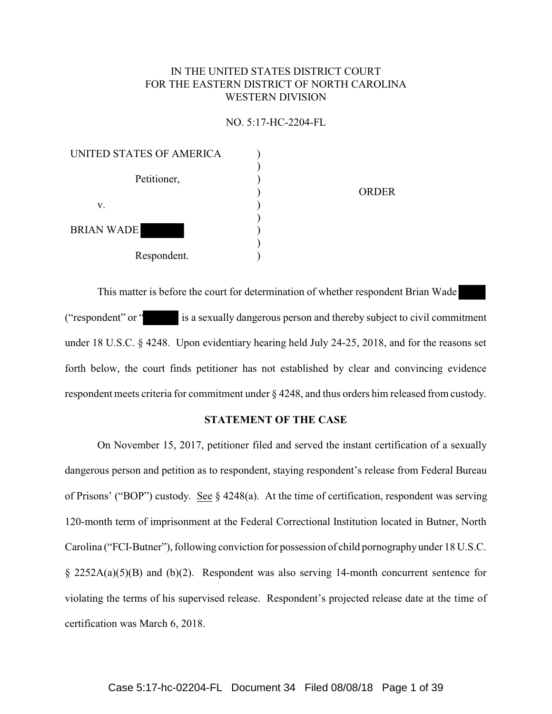# IN THE UNITED STATES DISTRICT COURT FOR THE EASTERN DISTRICT OF NORTH CAROLINA WESTERN DIVISION

#### NO. 5:17-HC-2204-FL

| UNITED STATES OF AMERICA |              |
|--------------------------|--------------|
|                          |              |
| Petitioner,              |              |
|                          | <b>ORDER</b> |
| v.                       |              |
|                          |              |
| <b>BRIAN WADE</b>        |              |
|                          |              |
| Respondent.              |              |

This matter is before the court for determination of whether respondent Brian Wade ("respondent" or " is a sexually dangerous person and thereby subject to civil commitment under 18 U.S.C. § 4248. Upon evidentiary hearing held July 24-25, 2018, and for the reasons set forth below, the court finds petitioner has not established by clear and convincing evidence respondent meets criteria for commitment under § 4248, and thus orders him released from custody.

### **STATEMENT OF THE CASE**

On November 15, 2017, petitioner filed and served the instant certification of a sexually dangerous person and petition as to respondent, staying respondent's release from Federal Bureau of Prisons' ("BOP") custody. See § 4248(a). At the time of certification, respondent was serving 120-month term of imprisonment at the Federal Correctional Institution located in Butner, North Carolina ("FCI-Butner"), following conviction for possession of child pornography under 18 U.S.C. § 2252A(a)(5)(B) and (b)(2). Respondent was also serving 14-month concurrent sentence for violating the terms of his supervised release. Respondent's projected release date at the time of certification was March 6, 2018.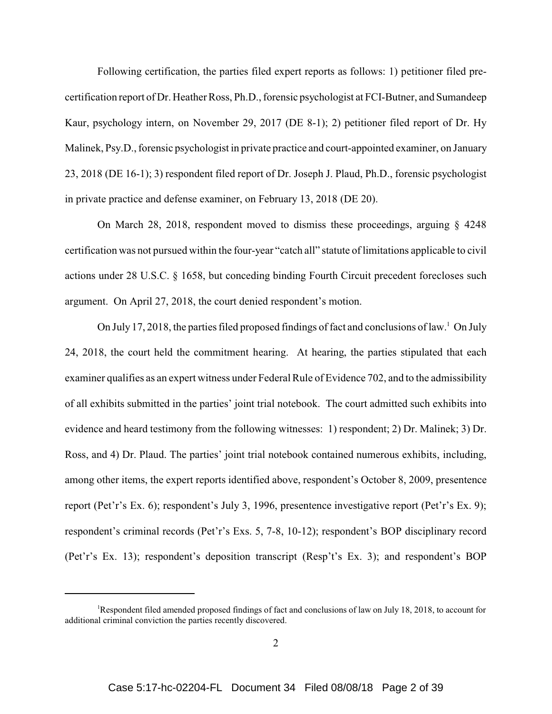Following certification, the parties filed expert reports as follows: 1) petitioner filed precertification report of Dr. Heather Ross, Ph.D., forensic psychologist at FCI-Butner, and Sumandeep Kaur, psychology intern, on November 29, 2017 (DE 8-1); 2) petitioner filed report of Dr. Hy Malinek, Psy.D., forensic psychologist in private practice and court-appointed examiner, on January 23, 2018 (DE 16-1); 3) respondent filed report of Dr. Joseph J. Plaud, Ph.D., forensic psychologist in private practice and defense examiner, on February 13, 2018 (DE 20).

On March 28, 2018, respondent moved to dismiss these proceedings, arguing § 4248 certification was not pursued within the four-year "catch all" statute of limitations applicable to civil actions under 28 U.S.C. § 1658, but conceding binding Fourth Circuit precedent forecloses such argument. On April 27, 2018, the court denied respondent's motion.

On July 17, 2018, the parties filed proposed findings of fact and conclusions of law.<sup>1</sup> On July 24, 2018, the court held the commitment hearing. At hearing, the parties stipulated that each examiner qualifies as an expert witness under Federal Rule of Evidence 702, and to the admissibility of all exhibits submitted in the parties' joint trial notebook. The court admitted such exhibits into evidence and heard testimony from the following witnesses: 1) respondent; 2) Dr. Malinek; 3) Dr. Ross, and 4) Dr. Plaud. The parties' joint trial notebook contained numerous exhibits, including, among other items, the expert reports identified above, respondent's October 8, 2009, presentence report (Pet'r's Ex. 6); respondent's July 3, 1996, presentence investigative report (Pet'r's Ex. 9); respondent's criminal records (Pet'r's Exs. 5, 7-8, 10-12); respondent's BOP disciplinary record (Pet'r's Ex. 13); respondent's deposition transcript (Resp't's Ex. 3); and respondent's BOP

<sup>1</sup>Respondent filed amended proposed findings of fact and conclusions of law on July 18, 2018, to account for additional criminal conviction the parties recently discovered.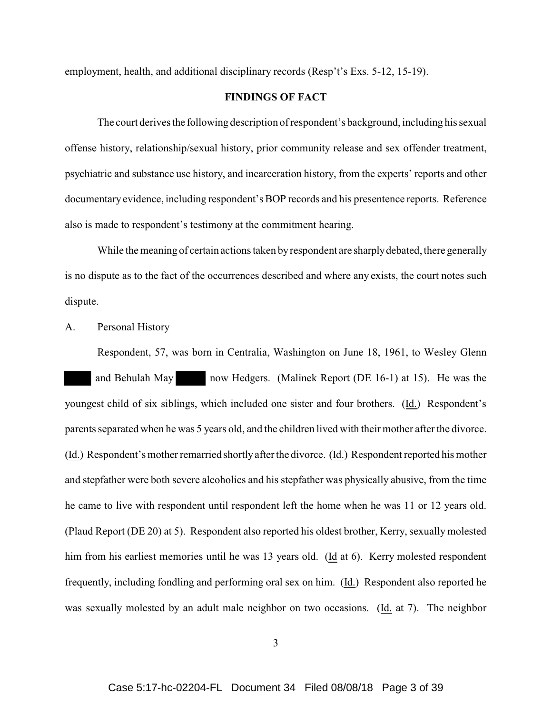employment, health, and additional disciplinary records (Resp't's Exs. 5-12, 15-19).

# **FINDINGS OF FACT**

The court derives the following description of respondent's background, including his sexual offense history, relationship/sexual history, prior community release and sex offender treatment, psychiatric and substance use history, and incarceration history, from the experts' reports and other documentary evidence, including respondent's BOP records and his presentence reports. Reference also is made to respondent's testimony at the commitment hearing.

While the meaning of certain actions taken by respondent are sharply debated, there generally is no dispute as to the fact of the occurrences described and where any exists, the court notes such dispute.

### A. Personal History

Respondent, 57, was born in Centralia, Washington on June 18, 1961, to Wesley Glenn and Behulah May now Hedgers. (Malinek Report (DE 16-1) at 15). He was the youngest child of six siblings, which included one sister and four brothers. (Id.) Respondent's parents separated when he was 5 years old, and the children lived with their mother after the divorce. (Id.) Respondent's mother remarried shortly after the divorce. (Id.) Respondent reported his mother and stepfather were both severe alcoholics and his stepfather was physically abusive, from the time he came to live with respondent until respondent left the home when he was 11 or 12 years old. (Plaud Report (DE 20) at 5). Respondent also reported his oldest brother, Kerry, sexually molested him from his earliest memories until he was 13 years old. (Id at 6). Kerry molested respondent frequently, including fondling and performing oral sex on him. (Id.) Respondent also reported he was sexually molested by an adult male neighbor on two occasions. (Id. at 7). The neighbor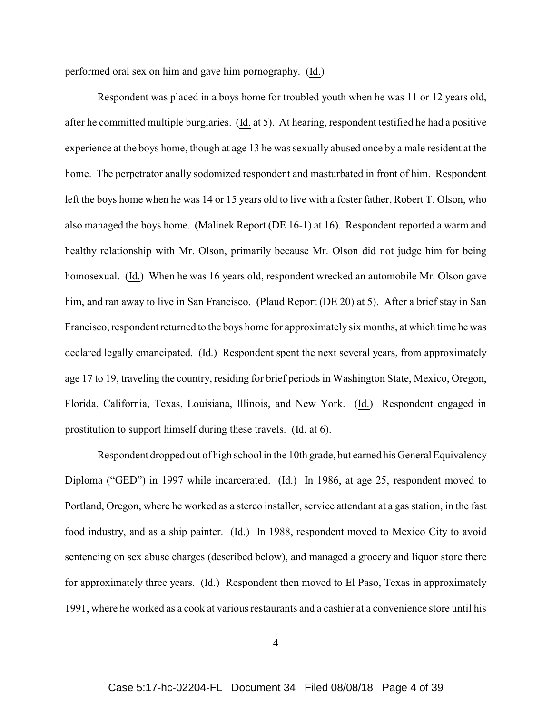performed oral sex on him and gave him pornography. (Id.)

Respondent was placed in a boys home for troubled youth when he was 11 or 12 years old, after he committed multiple burglaries. (Id. at 5). At hearing, respondent testified he had a positive experience at the boys home, though at age 13 he was sexually abused once by a male resident at the home. The perpetrator anally sodomized respondent and masturbated in front of him.Respondent left the boys home when he was 14 or 15 years old to live with a foster father, Robert T. Olson, who also managed the boys home. (Malinek Report (DE 16-1) at 16). Respondent reported a warm and healthy relationship with Mr. Olson, primarily because Mr. Olson did not judge him for being homosexual. (Id.) When he was 16 years old, respondent wrecked an automobile Mr. Olson gave him, and ran away to live in San Francisco. (Plaud Report (DE 20) at 5). After a brief stay in San Francisco, respondent returned to the boys home for approximately six months, at which time he was declared legally emancipated. (Id.) Respondent spent the next several years, from approximately age 17 to 19, traveling the country, residing for brief periods in Washington State, Mexico, Oregon, Florida, California, Texas, Louisiana, Illinois, and New York. (Id.) Respondent engaged in prostitution to support himself during these travels. (Id. at 6).

Respondent dropped out of high school in the 10th grade, but earned his General Equivalency Diploma ("GED") in 1997 while incarcerated. (Id.) In 1986, at age 25, respondent moved to Portland, Oregon, where he worked as a stereo installer, service attendant at a gas station, in the fast food industry, and as a ship painter. (Id.) In 1988, respondent moved to Mexico City to avoid sentencing on sex abuse charges (described below), and managed a grocery and liquor store there for approximately three years. (Id.) Respondent then moved to El Paso, Texas in approximately 1991, where he worked as a cook at various restaurants and a cashier at a convenience store until his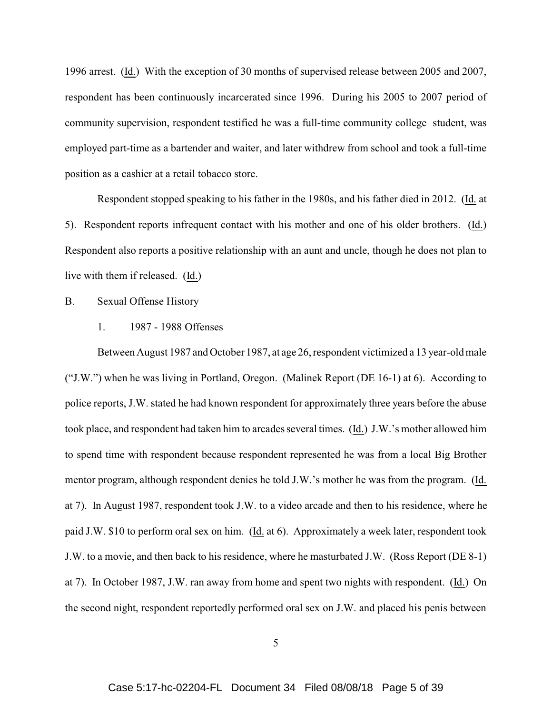1996 arrest. (Id.) With the exception of 30 months of supervised release between 2005 and 2007, respondent has been continuously incarcerated since 1996. During his 2005 to 2007 period of community supervision, respondent testified he was a full-time community college student, was employed part-time as a bartender and waiter, and later withdrew from school and took a full-time position as a cashier at a retail tobacco store.

Respondent stopped speaking to his father in the 1980s, and his father died in 2012. (Id. at 5). Respondent reports infrequent contact with his mother and one of his older brothers. (Id.) Respondent also reports a positive relationship with an aunt and uncle, though he does not plan to live with them if released. (Id.)

B. Sexual Offense History

1. 1987 - 1988 Offenses

Between August 1987 and October 1987, at age 26, respondent victimized a 13 year-old male ("J.W.") when he was living in Portland, Oregon. (Malinek Report (DE 16-1) at 6). According to police reports, J.W. stated he had known respondent for approximately three years before the abuse took place, and respondent had taken him to arcades several times. (Id.) J.W.'s mother allowed him to spend time with respondent because respondent represented he was from a local Big Brother mentor program, although respondent denies he told J.W.'s mother he was from the program. (Id. at 7). In August 1987, respondent took J.W. to a video arcade and then to his residence, where he paid J.W. \$10 to perform oral sex on him. (Id. at 6). Approximately a week later, respondent took J.W. to a movie, and then back to his residence, where he masturbated J.W. (Ross Report (DE 8-1) at 7). In October 1987, J.W. ran away from home and spent two nights with respondent. (Id.) On the second night, respondent reportedly performed oral sex on J.W. and placed his penis between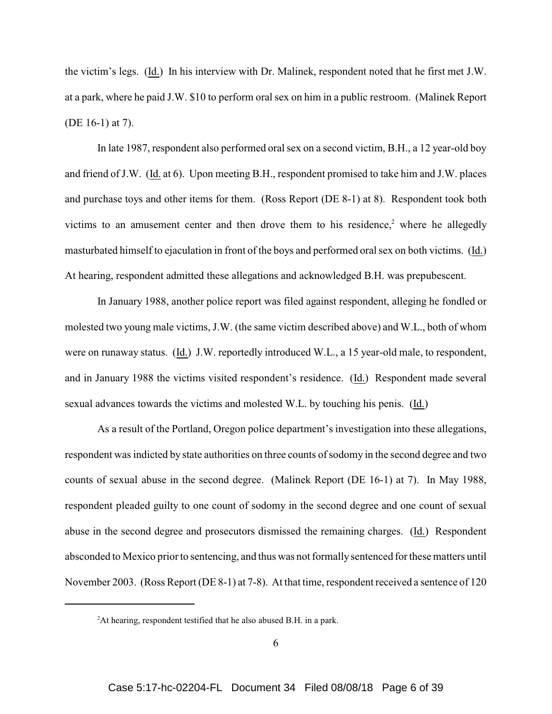the victim's legs. (Id.) In his interview with Dr. Malinek, respondent noted that he first met J.W. at a park, where he paid J.W. \$10 to perform oral sex on him in a public restroom. (Malinek Report (DE 16-1) at 7).

In late 1987, respondent also performed oral sex on a second victim, B.H., a 12 year-old boy and friend of J.W. (Id. at 6). Upon meeting B.H., respondent promised to take him and J.W. places and purchase toys and other items for them. (Ross Report (DE 8-1) at 8). Respondent took both victims to an amusement center and then drove them to his residence, $2$  where he allegedly masturbated himself to ejaculation in front of the boys and performed oral sex on both victims. (Id.) At hearing, respondent admitted these allegations and acknowledged B.H. was prepubescent.

In January 1988, another police report was filed against respondent, alleging he fondled or molested two young male victims, J.W. (the same victim described above) and W.L., both of whom were on runaway status. (Id.) J.W. reportedly introduced W.L., a 15 year-old male, to respondent, and in January 1988 the victims visited respondent's residence. (Id.) Respondent made several sexual advances towards the victims and molested W.L. by touching his penis. (Id.)

As a result of the Portland, Oregon police department's investigation into these allegations, respondent was indicted by state authorities on three counts of sodomy in the second degree and two counts of sexual abuse in the second degree. (Malinek Report (DE 16-1) at 7). In May 1988, respondent pleaded guilty to one count of sodomy in the second degree and one count of sexual abuse in the second degree and prosecutors dismissed the remaining charges. (Id.) Respondent absconded to Mexico prior to sentencing, and thus was not formally sentenced for these matters until November 2003. (Ross Report (DE 8-1) at 7-8). At that time, respondent received a sentence of 120

<sup>&</sup>lt;sup>2</sup>At hearing, respondent testified that he also abused B.H. in a park.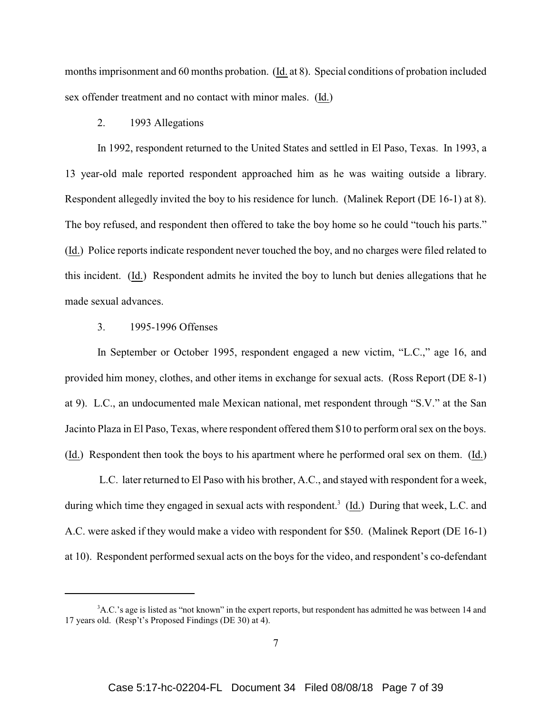months imprisonment and 60 months probation. (Id. at 8). Special conditions of probation included sex offender treatment and no contact with minor males. (Id.)

#### 2. 1993 Allegations

In 1992, respondent returned to the United States and settled in El Paso, Texas. In 1993, a 13 year-old male reported respondent approached him as he was waiting outside a library. Respondent allegedly invited the boy to his residence for lunch. (Malinek Report (DE 16-1) at 8). The boy refused, and respondent then offered to take the boy home so he could "touch his parts." (Id.) Police reports indicate respondent never touched the boy, and no charges were filed related to this incident. (Id.) Respondent admits he invited the boy to lunch but denies allegations that he made sexual advances.

# 3. 1995-1996 Offenses

In September or October 1995, respondent engaged a new victim, "L.C.," age 16, and provided him money, clothes, and other items in exchange for sexual acts. (Ross Report (DE 8-1) at 9). L.C., an undocumented male Mexican national, met respondent through "S.V." at the San Jacinto Plaza in El Paso, Texas, where respondent offered them \$10 to perform oral sex on the boys. (Id.) Respondent then took the boys to his apartment where he performed oral sex on them. (Id.)

 L.C. later returned to El Paso with his brother, A.C., and stayed with respondent for a week, during which time they engaged in sexual acts with respondent.<sup>3</sup> (Id.) During that week, L.C. and A.C. were asked if they would make a video with respondent for \$50. (Malinek Report (DE 16-1) at 10). Respondent performed sexual acts on the boys for the video, and respondent's co-defendant

<sup>&</sup>lt;sup>3</sup>A.C.'s age is listed as "not known" in the expert reports, but respondent has admitted he was between 14 and 17 years old. (Resp't's Proposed Findings (DE 30) at 4).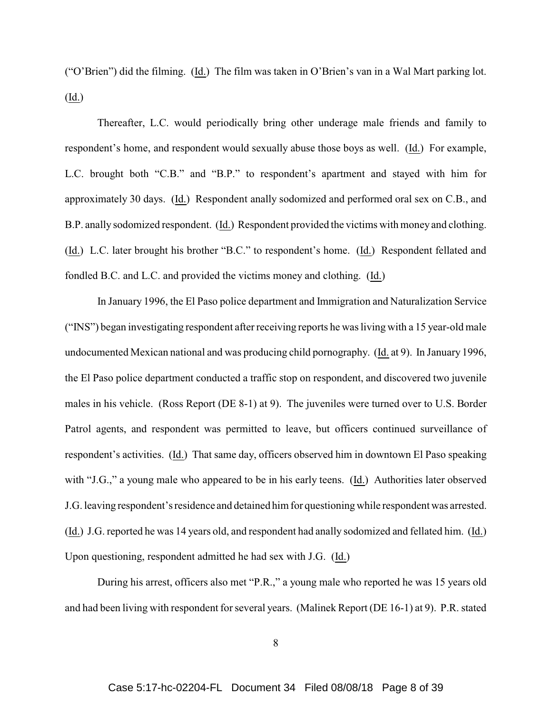("O'Brien") did the filming. (Id.) The film was taken in O'Brien's van in a Wal Mart parking lot. (Id.)

Thereafter, L.C. would periodically bring other underage male friends and family to respondent's home, and respondent would sexually abuse those boys as well. (Id.) For example, L.C. brought both "C.B." and "B.P." to respondent's apartment and stayed with him for approximately 30 days. (Id.) Respondent anally sodomized and performed oral sex on C.B., and B.P. anally sodomized respondent. (Id.) Respondent provided the victims with money and clothing. (Id.) L.C. later brought his brother "B.C." to respondent's home. (Id.) Respondent fellated and fondled B.C. and L.C. and provided the victims money and clothing. (Id.)

In January 1996, the El Paso police department and Immigration and Naturalization Service ("INS") began investigating respondent after receiving reports he was living with a 15 year-old male undocumented Mexican national and was producing child pornography. (Id. at 9). In January 1996, the El Paso police department conducted a traffic stop on respondent, and discovered two juvenile males in his vehicle. (Ross Report (DE 8-1) at 9). The juveniles were turned over to U.S. Border Patrol agents, and respondent was permitted to leave, but officers continued surveillance of respondent's activities. (Id.) That same day, officers observed him in downtown El Paso speaking with "J.G.," a young male who appeared to be in his early teens. (Id.) Authorities later observed J.G. leaving respondent's residence and detained him for questioning while respondent was arrested. (Id.) J.G. reported he was 14 years old, and respondent had anally sodomized and fellated him. (Id.) Upon questioning, respondent admitted he had sex with J.G. (Id.)

During his arrest, officers also met "P.R.," a young male who reported he was 15 years old and had been living with respondent for several years. (Malinek Report (DE 16-1) at 9). P.R. stated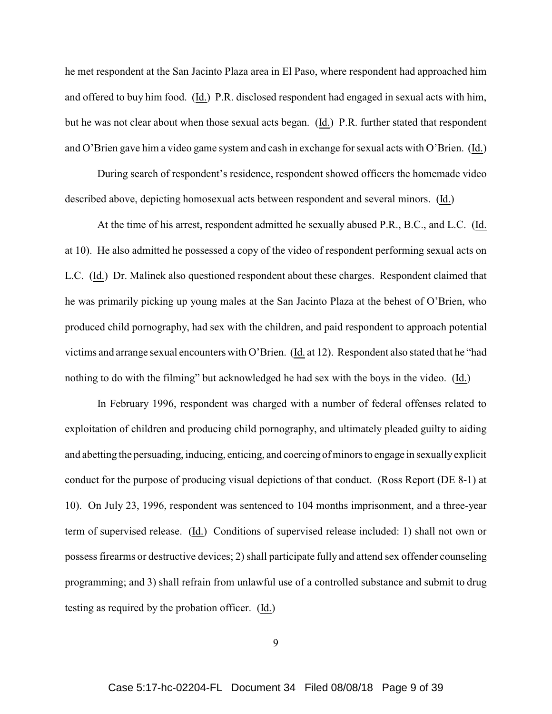he met respondent at the San Jacinto Plaza area in El Paso, where respondent had approached him and offered to buy him food. (Id.) P.R. disclosed respondent had engaged in sexual acts with him, but he was not clear about when those sexual acts began. (Id.) P.R. further stated that respondent and O'Brien gave him a video game system and cash in exchange for sexual acts with O'Brien. (Id.)

During search of respondent's residence, respondent showed officers the homemade video described above, depicting homosexual acts between respondent and several minors. (Id.)

At the time of his arrest, respondent admitted he sexually abused P.R., B.C., and L.C. (Id. at 10). He also admitted he possessed a copy of the video of respondent performing sexual acts on L.C. (Id.) Dr. Malinek also questioned respondent about these charges. Respondent claimed that he was primarily picking up young males at the San Jacinto Plaza at the behest of O'Brien, who produced child pornography, had sex with the children, and paid respondent to approach potential victims and arrange sexual encounters with O'Brien. (Id. at 12). Respondent also stated that he "had nothing to do with the filming" but acknowledged he had sex with the boys in the video. (Id.)

In February 1996, respondent was charged with a number of federal offenses related to exploitation of children and producing child pornography, and ultimately pleaded guilty to aiding and abetting the persuading, inducing, enticing, and coercing of minors to engage in sexually explicit conduct for the purpose of producing visual depictions of that conduct. (Ross Report (DE 8-1) at 10). On July 23, 1996, respondent was sentenced to 104 months imprisonment, and a three-year term of supervised release. (Id.) Conditions of supervised release included: 1) shall not own or possess firearms or destructive devices; 2) shall participate fully and attend sex offender counseling programming; and 3) shall refrain from unlawful use of a controlled substance and submit to drug testing as required by the probation officer. (Id.)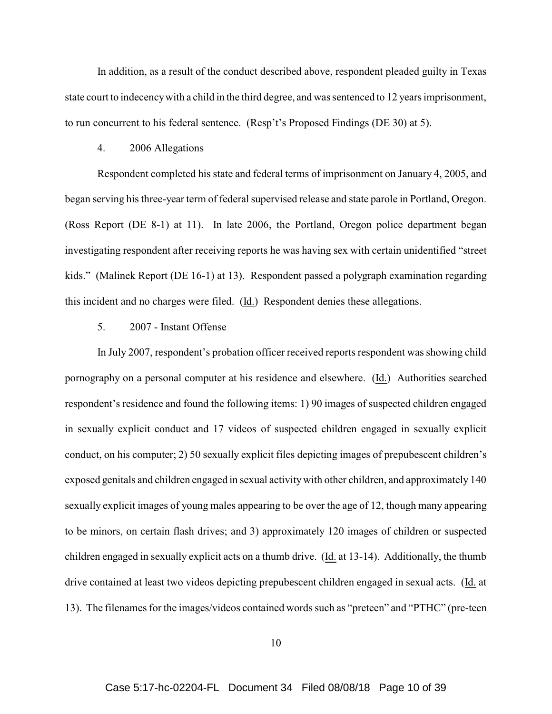In addition, as a result of the conduct described above, respondent pleaded guilty in Texas state court to indecency with a child in the third degree, and was sentenced to 12 years imprisonment, to run concurrent to his federal sentence. (Resp't's Proposed Findings (DE 30) at 5).

#### 4. 2006 Allegations

Respondent completed his state and federal terms of imprisonment on January 4, 2005, and began serving his three-year term of federal supervised release and state parole in Portland, Oregon. (Ross Report (DE 8-1) at 11). In late 2006, the Portland, Oregon police department began investigating respondent after receiving reports he was having sex with certain unidentified "street kids." (Malinek Report (DE 16-1) at 13). Respondent passed a polygraph examination regarding this incident and no charges were filed. (Id.) Respondent denies these allegations.

# 5. 2007 - Instant Offense

In July 2007, respondent's probation officer received reports respondent was showing child pornography on a personal computer at his residence and elsewhere. (Id.) Authorities searched respondent's residence and found the following items: 1) 90 images of suspected children engaged in sexually explicit conduct and 17 videos of suspected children engaged in sexually explicit conduct, on his computer; 2) 50 sexually explicit files depicting images of prepubescent children's exposed genitals and children engaged in sexual activity with other children, and approximately 140 sexually explicit images of young males appearing to be over the age of 12, though many appearing to be minors, on certain flash drives; and 3) approximately 120 images of children or suspected children engaged in sexually explicit acts on a thumb drive. (Id. at 13-14). Additionally, the thumb drive contained at least two videos depicting prepubescent children engaged in sexual acts. (Id. at 13). The filenames for the images/videos contained words such as "preteen" and "PTHC" (pre-teen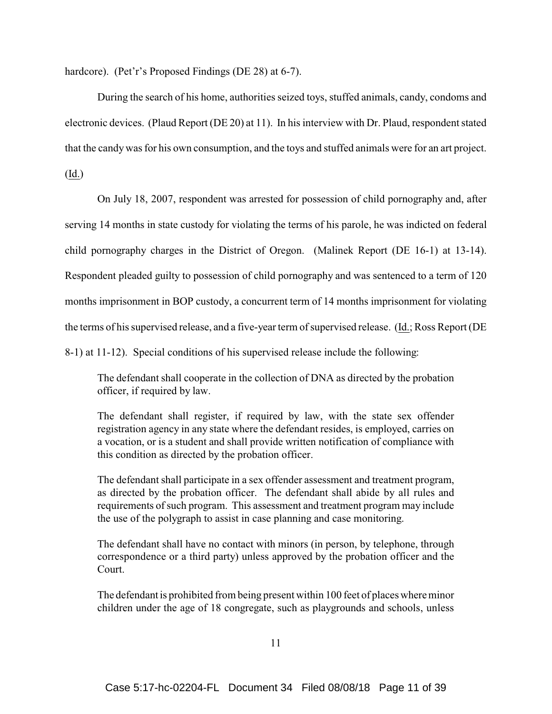hardcore). (Pet'r's Proposed Findings (DE 28) at 6-7).

During the search of his home, authorities seized toys, stuffed animals, candy, condoms and electronic devices. (Plaud Report (DE 20) at 11). In his interview with Dr. Plaud, respondent stated that the candy was for his own consumption, and the toys and stuffed animals were for an art project.

(Id.)

On July 18, 2007, respondent was arrested for possession of child pornography and, after serving 14 months in state custody for violating the terms of his parole, he was indicted on federal child pornography charges in the District of Oregon. (Malinek Report (DE 16-1) at 13-14). Respondent pleaded guilty to possession of child pornography and was sentenced to a term of 120 months imprisonment in BOP custody, a concurrent term of 14 months imprisonment for violating the terms of his supervised release, and a five-year term of supervised release. (Id.; Ross Report (DE 8-1) at 11-12). Special conditions of his supervised release include the following:

The defendant shall cooperate in the collection of DNA as directed by the probation officer, if required by law.

The defendant shall register, if required by law, with the state sex offender registration agency in any state where the defendant resides, is employed, carries on a vocation, or is a student and shall provide written notification of compliance with this condition as directed by the probation officer.

The defendant shall participate in a sex offender assessment and treatment program, as directed by the probation officer. The defendant shall abide by all rules and requirements of such program. This assessment and treatment program may include the use of the polygraph to assist in case planning and case monitoring.

The defendant shall have no contact with minors (in person, by telephone, through correspondence or a third party) unless approved by the probation officer and the Court.

The defendant is prohibited from being present within 100 feet of places where minor children under the age of 18 congregate, such as playgrounds and schools, unless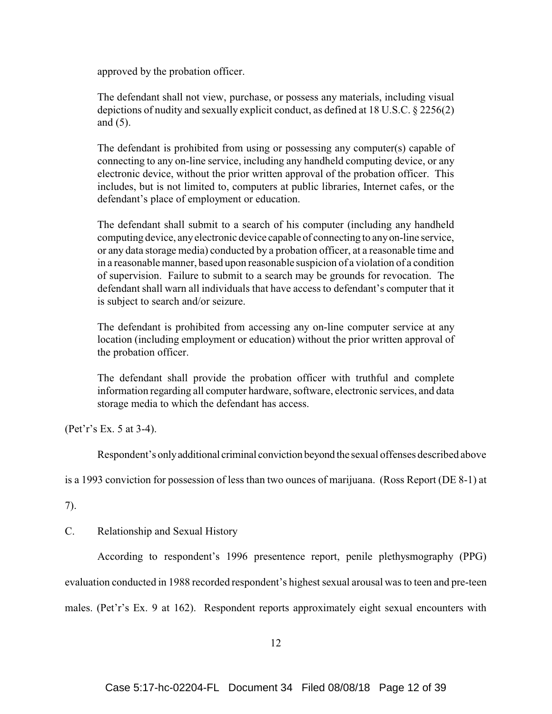approved by the probation officer.

The defendant shall not view, purchase, or possess any materials, including visual depictions of nudity and sexually explicit conduct, as defined at 18 U.S.C. § 2256(2) and (5).

The defendant is prohibited from using or possessing any computer(s) capable of connecting to any on-line service, including any handheld computing device, or any electronic device, without the prior written approval of the probation officer. This includes, but is not limited to, computers at public libraries, Internet cafes, or the defendant's place of employment or education.

The defendant shall submit to a search of his computer (including any handheld computing device, any electronic device capable of connecting to any on-line service, or any data storage media) conducted by a probation officer, at a reasonable time and in a reasonable manner, based upon reasonable suspicion of a violation of a condition of supervision. Failure to submit to a search may be grounds for revocation. The defendant shall warn all individuals that have access to defendant's computer that it is subject to search and/or seizure.

The defendant is prohibited from accessing any on-line computer service at any location (including employment or education) without the prior written approval of the probation officer.

The defendant shall provide the probation officer with truthful and complete information regarding all computer hardware, software, electronic services, and data storage media to which the defendant has access.

(Pet'r's Ex. 5 at 3-4).

Respondent's only additional criminal conviction beyond the sexual offenses described above

is a 1993 conviction for possession of less than two ounces of marijuana. (Ross Report (DE 8-1) at

7).

C. Relationship and Sexual History

According to respondent's 1996 presentence report, penile plethysmography (PPG) evaluation conducted in 1988 recorded respondent's highest sexual arousal was to teen and pre-teen males. (Pet'r's Ex. 9 at 162). Respondent reports approximately eight sexual encounters with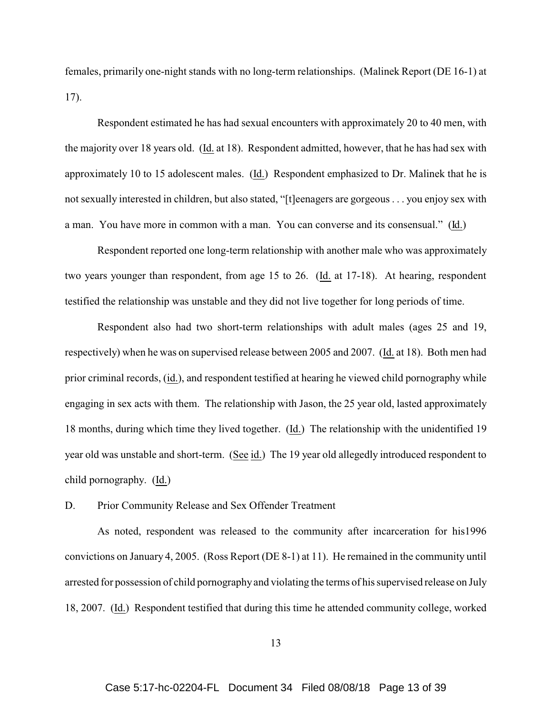females, primarily one-night stands with no long-term relationships. (Malinek Report (DE 16-1) at 17).

Respondent estimated he has had sexual encounters with approximately 20 to 40 men, with the majority over 18 years old. (Id. at 18). Respondent admitted, however, that he has had sex with approximately 10 to 15 adolescent males. (Id.) Respondent emphasized to Dr. Malinek that he is not sexually interested in children, but also stated, "[t]eenagers are gorgeous . . . you enjoy sex with a man. You have more in common with a man. You can converse and its consensual." (Id.)

Respondent reported one long-term relationship with another male who was approximately two years younger than respondent, from age 15 to 26. (Id. at 17-18). At hearing, respondent testified the relationship was unstable and they did not live together for long periods of time.

Respondent also had two short-term relationships with adult males (ages 25 and 19, respectively) when he was on supervised release between 2005 and 2007. (Id. at 18). Both men had prior criminal records, (id.), and respondent testified at hearing he viewed child pornography while engaging in sex acts with them. The relationship with Jason, the 25 year old, lasted approximately 18 months, during which time they lived together. (Id.) The relationship with the unidentified 19 year old was unstable and short-term. (See id.) The 19 year old allegedly introduced respondent to child pornography. (Id.)

# D. Prior Community Release and Sex Offender Treatment

As noted, respondent was released to the community after incarceration for his1996 convictions on January 4, 2005. (Ross Report (DE 8-1) at 11). He remained in the community until arrested for possession of child pornography and violating the terms of his supervised release on July 18, 2007. (Id.) Respondent testified that during this time he attended community college, worked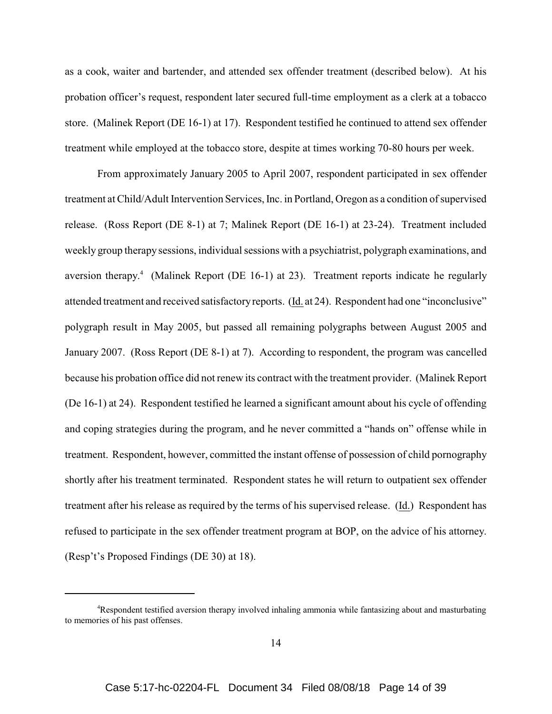as a cook, waiter and bartender, and attended sex offender treatment (described below). At his probation officer's request, respondent later secured full-time employment as a clerk at a tobacco store. (Malinek Report (DE 16-1) at 17). Respondent testified he continued to attend sex offender treatment while employed at the tobacco store, despite at times working 70-80 hours per week.

From approximately January 2005 to April 2007, respondent participated in sex offender treatment at Child/Adult Intervention Services, Inc. in Portland, Oregon as a condition of supervised release. (Ross Report (DE 8-1) at 7; Malinek Report (DE 16-1) at 23-24). Treatment included weekly group therapy sessions, individual sessions with a psychiatrist, polygraph examinations, and aversion therapy.<sup>4</sup> (Malinek Report (DE 16-1) at 23). Treatment reports indicate he regularly attended treatment and received satisfactory reports. (Id. at 24). Respondent had one "inconclusive" polygraph result in May 2005, but passed all remaining polygraphs between August 2005 and January 2007. (Ross Report (DE 8-1) at 7). According to respondent, the program was cancelled because his probation office did not renew its contract with the treatment provider. (Malinek Report (De 16-1) at 24). Respondent testified he learned a significant amount about his cycle of offending and coping strategies during the program, and he never committed a "hands on" offense while in treatment. Respondent, however, committed the instant offense of possession of child pornography shortly after his treatment terminated. Respondent states he will return to outpatient sex offender treatment after his release as required by the terms of his supervised release. (Id.) Respondent has refused to participate in the sex offender treatment program at BOP, on the advice of his attorney. (Resp't's Proposed Findings (DE 30) at 18).

<sup>4</sup>Respondent testified aversion therapy involved inhaling ammonia while fantasizing about and masturbating to memories of his past offenses.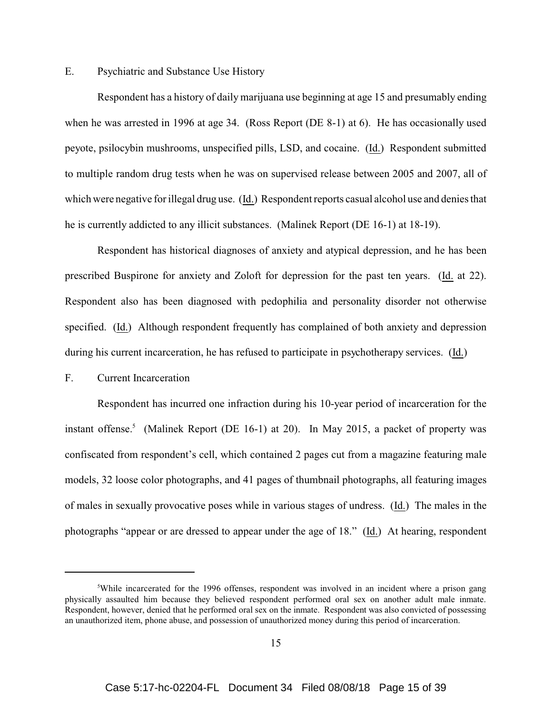# E. Psychiatric and Substance Use History

Respondent has a history of daily marijuana use beginning at age 15 and presumably ending when he was arrested in 1996 at age 34. (Ross Report (DE 8-1) at 6). He has occasionally used peyote, psilocybin mushrooms, unspecified pills, LSD, and cocaine. (Id.) Respondent submitted to multiple random drug tests when he was on supervised release between 2005 and 2007, all of which were negative for illegal drug use. (Id.) Respondent reports casual alcohol use and denies that he is currently addicted to any illicit substances. (Malinek Report (DE 16-1) at 18-19).

Respondent has historical diagnoses of anxiety and atypical depression, and he has been prescribed Buspirone for anxiety and Zoloft for depression for the past ten years. (Id. at 22). Respondent also has been diagnosed with pedophilia and personality disorder not otherwise specified. (Id.) Although respondent frequently has complained of both anxiety and depression during his current incarceration, he has refused to participate in psychotherapy services. (Id.)

# F. Current Incarceration

Respondent has incurred one infraction during his 10-year period of incarceration for the instant offense.<sup>5</sup> (Malinek Report (DE 16-1) at 20). In May 2015, a packet of property was confiscated from respondent's cell, which contained 2 pages cut from a magazine featuring male models, 32 loose color photographs, and 41 pages of thumbnail photographs, all featuring images of males in sexually provocative poses while in various stages of undress. (Id.) The males in the photographs "appear or are dressed to appear under the age of 18." (Id.) At hearing, respondent

<sup>&</sup>lt;sup>5</sup>While incarcerated for the 1996 offenses, respondent was involved in an incident where a prison gang physically assaulted him because they believed respondent performed oral sex on another adult male inmate. Respondent, however, denied that he performed oral sex on the inmate. Respondent was also convicted of possessing an unauthorized item, phone abuse, and possession of unauthorized money during this period of incarceration.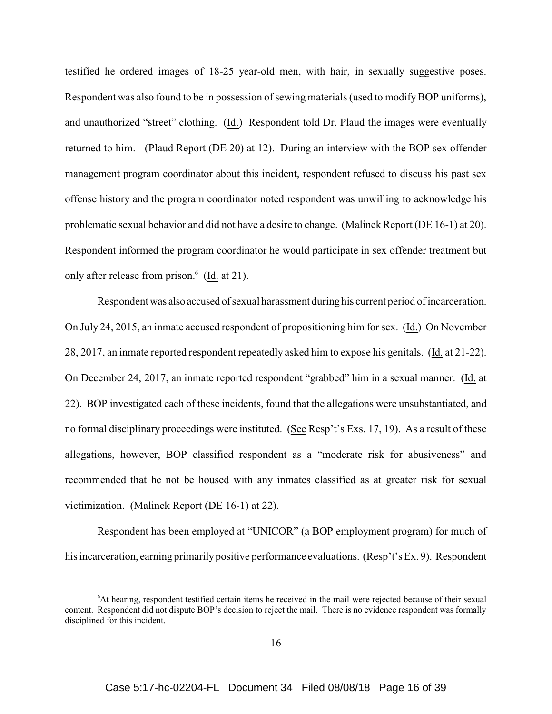testified he ordered images of 18-25 year-old men, with hair, in sexually suggestive poses. Respondent was also found to be in possession of sewing materials (used to modify BOP uniforms), and unauthorized "street" clothing. (Id.) Respondent told Dr. Plaud the images were eventually returned to him. (Plaud Report (DE 20) at 12). During an interview with the BOP sex offender management program coordinator about this incident, respondent refused to discuss his past sex offense history and the program coordinator noted respondent was unwilling to acknowledge his problematic sexual behavior and did not have a desire to change. (Malinek Report (DE 16-1) at 20). Respondent informed the program coordinator he would participate in sex offender treatment but only after release from prison. $6 \text{ (Id. at 21)}.$ 

Respondent was also accused of sexual harassment during his current period of incarceration. On July 24, 2015, an inmate accused respondent of propositioning him for sex. (Id.) On November 28, 2017, an inmate reported respondent repeatedly asked him to expose his genitals. (Id. at 21-22). On December 24, 2017, an inmate reported respondent "grabbed" him in a sexual manner. (Id. at 22). BOP investigated each of these incidents, found that the allegations were unsubstantiated, and no formal disciplinary proceedings were instituted. (See Resp't's Exs. 17, 19). As a result of these allegations, however, BOP classified respondent as a "moderate risk for abusiveness" and recommended that he not be housed with any inmates classified as at greater risk for sexual victimization. (Malinek Report (DE 16-1) at 22).

Respondent has been employed at "UNICOR" (a BOP employment program) for much of his incarceration, earning primarily positive performance evaluations. (Resp't's Ex. 9). Respondent

<sup>6</sup>At hearing, respondent testified certain items he received in the mail were rejected because of their sexual content. Respondent did not dispute BOP's decision to reject the mail. There is no evidence respondent was formally disciplined for this incident.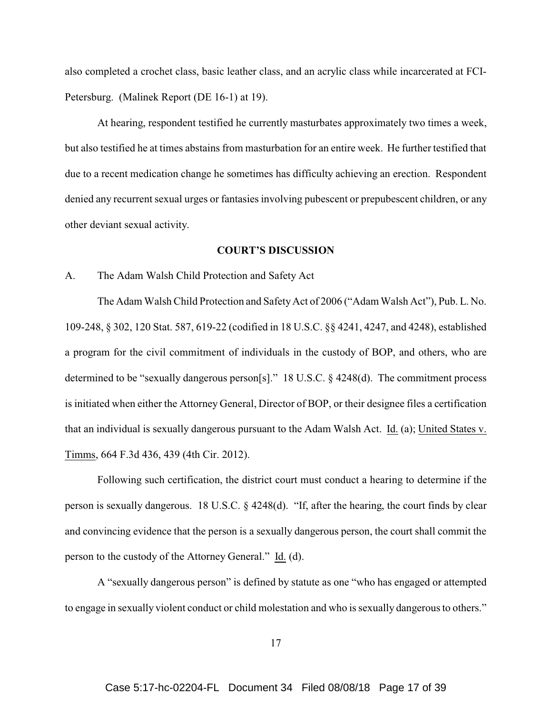also completed a crochet class, basic leather class, and an acrylic class while incarcerated at FCI-Petersburg. (Malinek Report (DE 16-1) at 19).

At hearing, respondent testified he currently masturbates approximately two times a week, but also testified he at times abstains from masturbation for an entire week. He further testified that due to a recent medication change he sometimes has difficulty achieving an erection. Respondent denied any recurrent sexual urges or fantasies involving pubescent or prepubescent children, or any other deviant sexual activity.

### **COURT'S DISCUSSION**

### A. The Adam Walsh Child Protection and Safety Act

The Adam Walsh Child Protection and Safety Act of 2006 ("Adam Walsh Act"), Pub. L. No. 109-248, § 302, 120 Stat. 587, 619-22 (codified in 18 U.S.C. §§ 4241, 4247, and 4248), established a program for the civil commitment of individuals in the custody of BOP, and others, who are determined to be "sexually dangerous person[s]." 18 U.S.C. § 4248(d). The commitment process is initiated when either the Attorney General, Director of BOP, or their designee files a certification that an individual is sexually dangerous pursuant to the Adam Walsh Act. Id. (a); United States v. Timms, 664 F.3d 436, 439 (4th Cir. 2012).

Following such certification, the district court must conduct a hearing to determine if the person is sexually dangerous. 18 U.S.C. § 4248(d). "If, after the hearing, the court finds by clear and convincing evidence that the person is a sexually dangerous person, the court shall commit the person to the custody of the Attorney General." Id. (d).

A "sexually dangerous person" is defined by statute as one "who has engaged or attempted to engage in sexually violent conduct or child molestation and who is sexually dangerous to others."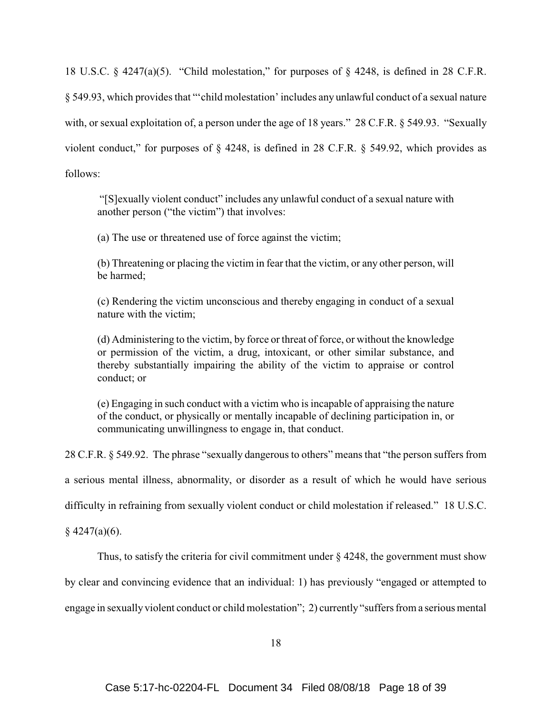18 U.S.C. § 4247(a)(5). "Child molestation," for purposes of § 4248, is defined in 28 C.F.R. § 549.93, which provides that "'child molestation' includes any unlawful conduct of a sexual nature with, or sexual exploitation of, a person under the age of 18 years." 28 C.F.R. § 549.93. "Sexually violent conduct," for purposes of § 4248, is defined in 28 C.F.R. § 549.92, which provides as follows:

 "[S]exually violent conduct" includes any unlawful conduct of a sexual nature with another person ("the victim") that involves:

(a) The use or threatened use of force against the victim;

(b) Threatening or placing the victim in fear that the victim, or any other person, will be harmed;

(c) Rendering the victim unconscious and thereby engaging in conduct of a sexual nature with the victim;

(d) Administering to the victim, by force or threat of force, or without the knowledge or permission of the victim, a drug, intoxicant, or other similar substance, and thereby substantially impairing the ability of the victim to appraise or control conduct; or

(e) Engaging in such conduct with a victim who is incapable of appraising the nature of the conduct, or physically or mentally incapable of declining participation in, or communicating unwillingness to engage in, that conduct.

28 C.F.R. § 549.92. The phrase "sexually dangerous to others" means that "the person suffers from

a serious mental illness, abnormality, or disorder as a result of which he would have serious

difficulty in refraining from sexually violent conduct or child molestation if released." 18 U.S.C.

 $§$  4247(a)(6).

Thus, to satisfy the criteria for civil commitment under  $\S 4248$ , the government must show

by clear and convincing evidence that an individual: 1) has previously "engaged or attempted to

engage in sexually violent conduct or child molestation"; 2) currently "suffers from a serious mental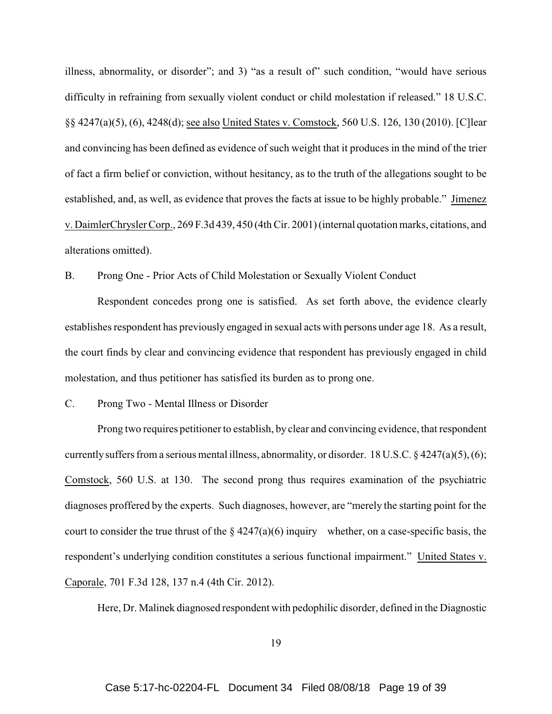illness, abnormality, or disorder"; and 3) "as a result of" such condition, "would have serious difficulty in refraining from sexually violent conduct or child molestation if released." 18 U.S.C. §§ 4247(a)(5), (6), 4248(d); see also United States v. Comstock, 560 U.S. 126, 130 (2010). [C]lear and convincing has been defined as evidence of such weight that it produces in the mind of the trier of fact a firm belief or conviction, without hesitancy, as to the truth of the allegations sought to be established, and, as well, as evidence that proves the facts at issue to be highly probable." Jimenez v. DaimlerChrysler Corp., 269 F.3d 439, 450 (4th Cir. 2001) (internal quotation marks, citations, and alterations omitted).

B. Prong One - Prior Acts of Child Molestation or Sexually Violent Conduct

Respondent concedes prong one is satisfied. As set forth above, the evidence clearly establishes respondent has previously engaged in sexual acts with persons under age 18. As a result, the court finds by clear and convincing evidence that respondent has previously engaged in child molestation, and thus petitioner has satisfied its burden as to prong one.

C. Prong Two - Mental Illness or Disorder

Prong two requires petitioner to establish, by clear and convincing evidence, that respondent currently suffers from a serious mental illness, abnormality, or disorder. 18 U.S.C.  $\S$  4247(a)(5), (6); Comstock, 560 U.S. at 130. The second prong thus requires examination of the psychiatric diagnoses proffered by the experts. Such diagnoses, however, are "merely the starting point for the court to consider the true thrust of the  $\S$  4247(a)(6) inquiry whether, on a case-specific basis, the respondent's underlying condition constitutes a serious functional impairment." United States v. Caporale, 701 F.3d 128, 137 n.4 (4th Cir. 2012).

Here, Dr. Malinek diagnosed respondent with pedophilic disorder, defined in the Diagnostic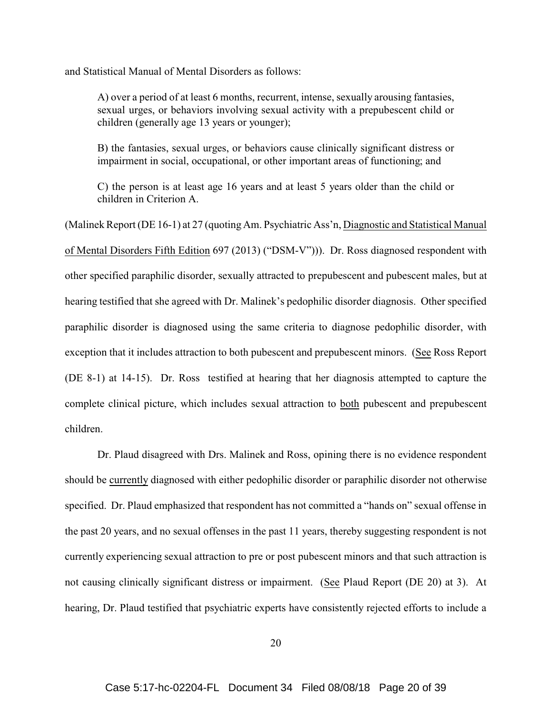and Statistical Manual of Mental Disorders as follows:

A) over a period of at least 6 months, recurrent, intense, sexually arousing fantasies, sexual urges, or behaviors involving sexual activity with a prepubescent child or children (generally age 13 years or younger);

B) the fantasies, sexual urges, or behaviors cause clinically significant distress or impairment in social, occupational, or other important areas of functioning; and

C) the person is at least age 16 years and at least 5 years older than the child or children in Criterion A.

(Malinek Report (DE 16-1) at 27 (quoting Am. Psychiatric Ass'n, Diagnostic and Statistical Manual of Mental Disorders Fifth Edition 697 (2013) ("DSM-V"))). Dr. Ross diagnosed respondent with other specified paraphilic disorder, sexually attracted to prepubescent and pubescent males, but at hearing testified that she agreed with Dr. Malinek's pedophilic disorder diagnosis. Other specified paraphilic disorder is diagnosed using the same criteria to diagnose pedophilic disorder, with exception that it includes attraction to both pubescent and prepubescent minors. (See Ross Report (DE 8-1) at 14-15). Dr. Ross testified at hearing that her diagnosis attempted to capture the complete clinical picture, which includes sexual attraction to both pubescent and prepubescent children.

Dr. Plaud disagreed with Drs. Malinek and Ross, opining there is no evidence respondent should be currently diagnosed with either pedophilic disorder or paraphilic disorder not otherwise specified. Dr. Plaud emphasized that respondent has not committed a "hands on" sexual offense in the past 20 years, and no sexual offenses in the past 11 years, thereby suggesting respondent is not currently experiencing sexual attraction to pre or post pubescent minors and that such attraction is not causing clinically significant distress or impairment. (See Plaud Report (DE 20) at 3). At hearing, Dr. Plaud testified that psychiatric experts have consistently rejected efforts to include a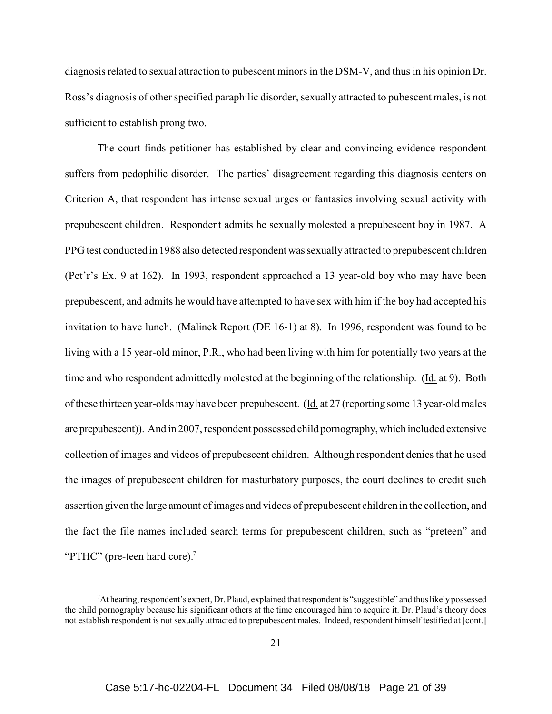diagnosis related to sexual attraction to pubescent minors in the DSM-V, and thus in his opinion Dr. Ross's diagnosis of other specified paraphilic disorder, sexually attracted to pubescent males, is not sufficient to establish prong two.

The court finds petitioner has established by clear and convincing evidence respondent suffers from pedophilic disorder. The parties' disagreement regarding this diagnosis centers on Criterion A, that respondent has intense sexual urges or fantasies involving sexual activity with prepubescent children. Respondent admits he sexually molested a prepubescent boy in 1987. A PPG test conducted in 1988 also detected respondent was sexually attracted to prepubescent children (Pet'r's Ex. 9 at 162). In 1993, respondent approached a 13 year-old boy who may have been prepubescent, and admits he would have attempted to have sex with him if the boy had accepted his invitation to have lunch. (Malinek Report (DE 16-1) at 8). In 1996, respondent was found to be living with a 15 year-old minor, P.R., who had been living with him for potentially two years at the time and who respondent admittedly molested at the beginning of the relationship. (Id. at 9). Both of these thirteen year-olds may have been prepubescent. (Id. at 27 (reporting some 13 year-old males are prepubescent)). And in 2007, respondent possessed child pornography, which included extensive collection of images and videos of prepubescent children. Although respondent denies that he used the images of prepubescent children for masturbatory purposes, the court declines to credit such assertion given the large amount of images and videos of prepubescent children in the collection, and the fact the file names included search terms for prepubescent children, such as "preteen" and "PTHC" (pre-teen hard core). $7$ 

<sup>7</sup>At hearing, respondent's expert, Dr. Plaud, explained that respondent is "suggestible" and thus likely possessed the child pornography because his significant others at the time encouraged him to acquire it. Dr. Plaud's theory does not establish respondent is not sexually attracted to prepubescent males. Indeed, respondent himself testified at [cont.]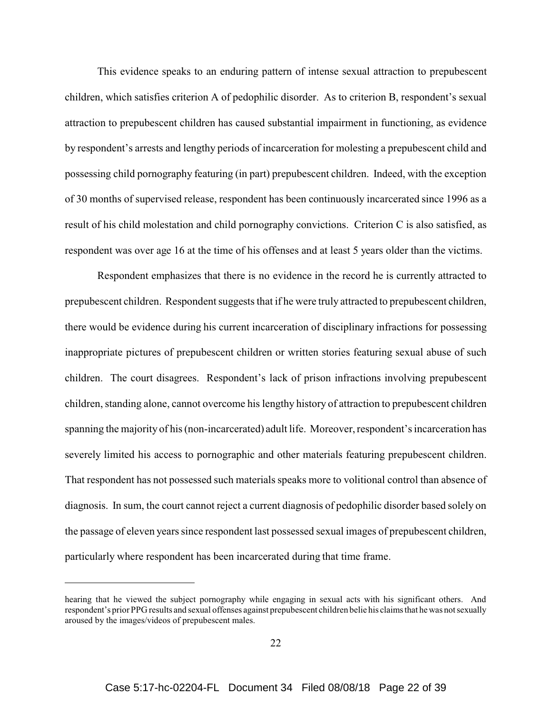This evidence speaks to an enduring pattern of intense sexual attraction to prepubescent children, which satisfies criterion A of pedophilic disorder. As to criterion B, respondent's sexual attraction to prepubescent children has caused substantial impairment in functioning, as evidence by respondent's arrests and lengthy periods of incarceration for molesting a prepubescent child and possessing child pornography featuring (in part) prepubescent children. Indeed, with the exception of 30 months of supervised release, respondent has been continuously incarcerated since 1996 as a result of his child molestation and child pornography convictions. Criterion C is also satisfied, as respondent was over age 16 at the time of his offenses and at least 5 years older than the victims.

Respondent emphasizes that there is no evidence in the record he is currently attracted to prepubescent children. Respondent suggests that if he were truly attracted to prepubescent children, there would be evidence during his current incarceration of disciplinary infractions for possessing inappropriate pictures of prepubescent children or written stories featuring sexual abuse of such children. The court disagrees. Respondent's lack of prison infractions involving prepubescent children, standing alone, cannot overcome his lengthy history of attraction to prepubescent children spanning the majority of his (non-incarcerated) adult life. Moreover, respondent's incarceration has severely limited his access to pornographic and other materials featuring prepubescent children. That respondent has not possessed such materials speaks more to volitional control than absence of diagnosis. In sum, the court cannot reject a current diagnosis of pedophilic disorder based solely on the passage of eleven years since respondent last possessed sexual images of prepubescent children, particularly where respondent has been incarcerated during that time frame.

hearing that he viewed the subject pornography while engaging in sexual acts with his significant others. And respondent's prior PPG results and sexual offenses against prepubescent children belie his claims that he was not sexually aroused by the images/videos of prepubescent males.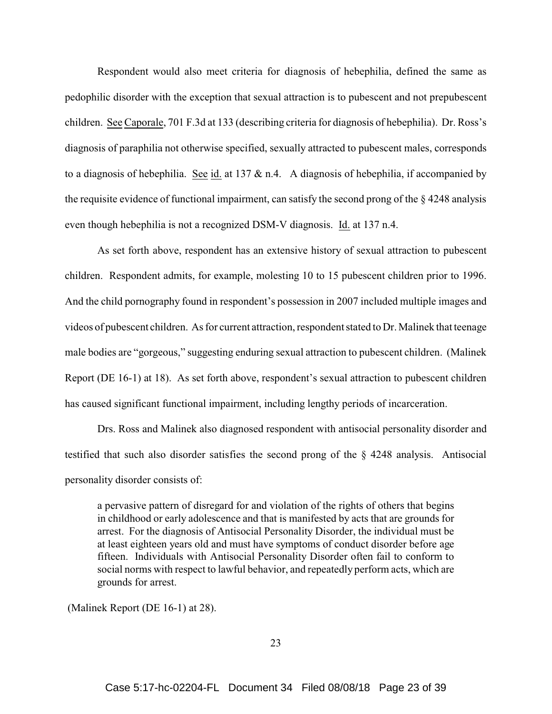Respondent would also meet criteria for diagnosis of hebephilia, defined the same as pedophilic disorder with the exception that sexual attraction is to pubescent and not prepubescent children. See Caporale, 701 F.3d at 133 (describing criteria for diagnosis of hebephilia). Dr. Ross's diagnosis of paraphilia not otherwise specified, sexually attracted to pubescent males, corresponds to a diagnosis of hebephilia. See id. at 137  $\&$  n.4. A diagnosis of hebephilia, if accompanied by the requisite evidence of functional impairment, can satisfy the second prong of the § 4248 analysis even though hebephilia is not a recognized DSM-V diagnosis. Id. at 137 n.4.

As set forth above, respondent has an extensive history of sexual attraction to pubescent children. Respondent admits, for example, molesting 10 to 15 pubescent children prior to 1996. And the child pornography found in respondent's possession in 2007 included multiple images and videos of pubescent children. As for current attraction, respondent stated to Dr. Malinek that teenage male bodies are "gorgeous," suggesting enduring sexual attraction to pubescent children. (Malinek Report (DE 16-1) at 18). As set forth above, respondent's sexual attraction to pubescent children has caused significant functional impairment, including lengthy periods of incarceration.

Drs. Ross and Malinek also diagnosed respondent with antisocial personality disorder and testified that such also disorder satisfies the second prong of the § 4248 analysis. Antisocial personality disorder consists of:

a pervasive pattern of disregard for and violation of the rights of others that begins in childhood or early adolescence and that is manifested by acts that are grounds for arrest. For the diagnosis of Antisocial Personality Disorder, the individual must be at least eighteen years old and must have symptoms of conduct disorder before age fifteen. Individuals with Antisocial Personality Disorder often fail to conform to social norms with respect to lawful behavior, and repeatedly perform acts, which are grounds for arrest.

(Malinek Report (DE 16-1) at 28).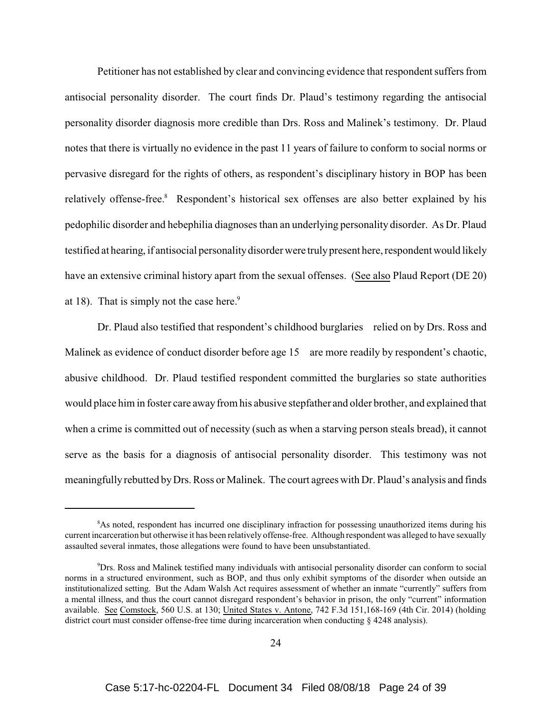Petitioner has not established by clear and convincing evidence that respondent suffers from antisocial personality disorder. The court finds Dr. Plaud's testimony regarding the antisocial personality disorder diagnosis more credible than Drs. Ross and Malinek's testimony. Dr. Plaud notes that there is virtually no evidence in the past 11 years of failure to conform to social norms or pervasive disregard for the rights of others, as respondent's disciplinary history in BOP has been relatively offense-free.<sup>8</sup> Respondent's historical sex offenses are also better explained by his pedophilic disorder and hebephilia diagnoses than an underlying personality disorder. As Dr. Plaud testified at hearing, if antisocial personality disorder were truly present here, respondent would likely have an extensive criminal history apart from the sexual offenses. (See also Plaud Report (DE 20) at 18). That is simply not the case here.<sup>9</sup>

Dr. Plaud also testified that respondent's childhood burglaries relied on by Drs. Ross and Malinek as evidence of conduct disorder before age 15 are more readily by respondent's chaotic, abusive childhood. Dr. Plaud testified respondent committed the burglaries so state authorities would place him in foster care away from his abusive stepfather and older brother, and explained that when a crime is committed out of necessity (such as when a starving person steals bread), it cannot serve as the basis for a diagnosis of antisocial personality disorder. This testimony was not meaningfully rebutted by Drs. Ross or Malinek. The court agrees with Dr. Plaud's analysis and finds

<sup>8</sup>As noted, respondent has incurred one disciplinary infraction for possessing unauthorized items during his current incarceration but otherwise it has been relatively offense-free. Although respondent was alleged to have sexually assaulted several inmates, those allegations were found to have been unsubstantiated.

<sup>9</sup>Drs. Ross and Malinek testified many individuals with antisocial personality disorder can conform to social norms in a structured environment, such as BOP, and thus only exhibit symptoms of the disorder when outside an institutionalized setting. But the Adam Walsh Act requires assessment of whether an inmate "currently" suffers from a mental illness, and thus the court cannot disregard respondent's behavior in prison, the only "current" information available. See Comstock, 560 U.S. at 130; United States v. Antone, 742 F.3d 151,168-169 (4th Cir. 2014) (holding district court must consider offense-free time during incarceration when conducting § 4248 analysis).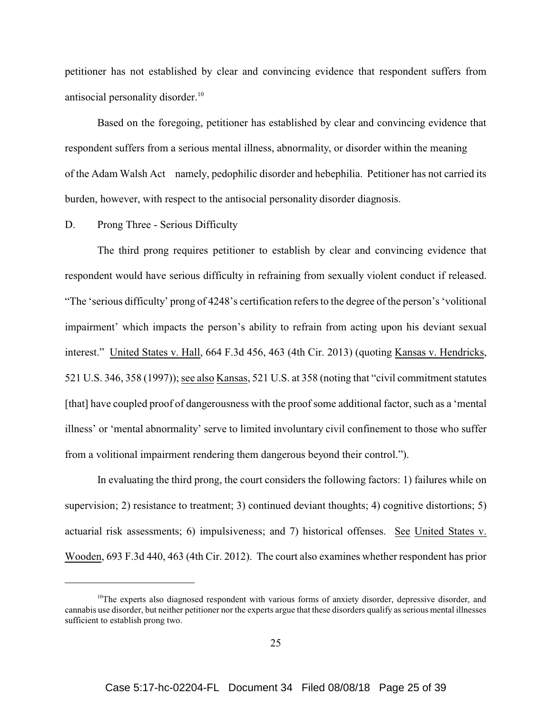petitioner has not established by clear and convincing evidence that respondent suffers from antisocial personality disorder.<sup>10</sup>

Based on the foregoing, petitioner has established by clear and convincing evidence that respondent suffers from a serious mental illness, abnormality, or disorder within the meaning of the Adam Walsh Act namely, pedophilic disorder and hebephilia. Petitioner has not carried its burden, however, with respect to the antisocial personality disorder diagnosis.

### D. Prong Three - Serious Difficulty

The third prong requires petitioner to establish by clear and convincing evidence that respondent would have serious difficulty in refraining from sexually violent conduct if released. "The 'serious difficulty' prong of 4248's certification refers to the degree of the person's 'volitional impairment' which impacts the person's ability to refrain from acting upon his deviant sexual interest." United States v. Hall, 664 F.3d 456, 463 (4th Cir. 2013) (quoting Kansas v. Hendricks, 521 U.S. 346, 358 (1997)); see also Kansas, 521 U.S. at 358 (noting that "civil commitment statutes [that] have coupled proof of dangerousness with the proof some additional factor, such as a 'mental illness' or 'mental abnormality' serve to limited involuntary civil confinement to those who suffer from a volitional impairment rendering them dangerous beyond their control.").

In evaluating the third prong, the court considers the following factors: 1) failures while on supervision; 2) resistance to treatment; 3) continued deviant thoughts; 4) cognitive distortions; 5) actuarial risk assessments; 6) impulsiveness; and 7) historical offenses. See United States v. Wooden, 693 F.3d 440, 463 (4th Cir. 2012). The court also examines whether respondent has prior

 $10$ The experts also diagnosed respondent with various forms of anxiety disorder, depressive disorder, and cannabis use disorder, but neither petitioner nor the experts argue that these disorders qualify as serious mental illnesses sufficient to establish prong two.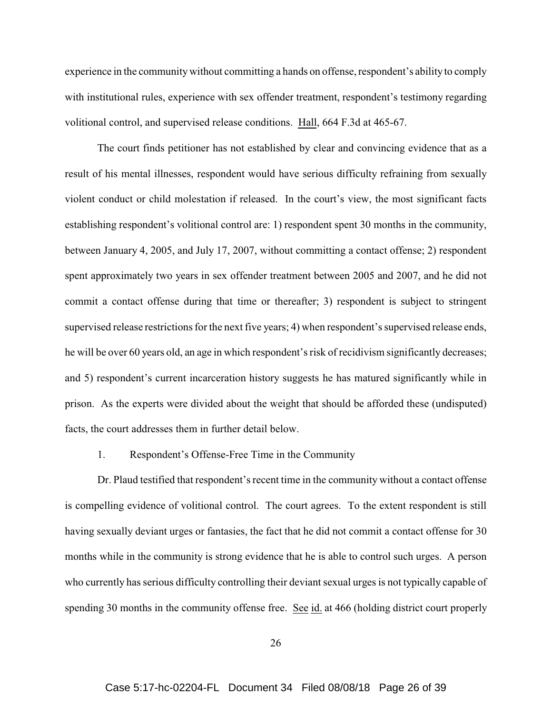experience in the community without committing a hands on offense, respondent's ability to comply with institutional rules, experience with sex offender treatment, respondent's testimony regarding volitional control, and supervised release conditions. Hall, 664 F.3d at 465-67.

The court finds petitioner has not established by clear and convincing evidence that as a result of his mental illnesses, respondent would have serious difficulty refraining from sexually violent conduct or child molestation if released. In the court's view, the most significant facts establishing respondent's volitional control are: 1) respondent spent 30 months in the community, between January 4, 2005, and July 17, 2007, without committing a contact offense; 2) respondent spent approximately two years in sex offender treatment between 2005 and 2007, and he did not commit a contact offense during that time or thereafter; 3) respondent is subject to stringent supervised release restrictions for the next five years; 4) when respondent's supervised release ends, he will be over 60 years old, an age in which respondent's risk of recidivism significantly decreases; and 5) respondent's current incarceration history suggests he has matured significantly while in prison. As the experts were divided about the weight that should be afforded these (undisputed) facts, the court addresses them in further detail below.

#### 1. Respondent's Offense-Free Time in the Community

Dr. Plaud testified that respondent's recent time in the community without a contact offense is compelling evidence of volitional control. The court agrees. To the extent respondent is still having sexually deviant urges or fantasies, the fact that he did not commit a contact offense for 30 months while in the community is strong evidence that he is able to control such urges. A person who currently has serious difficulty controlling their deviant sexual urges is not typically capable of spending 30 months in the community offense free. See id. at 466 (holding district court properly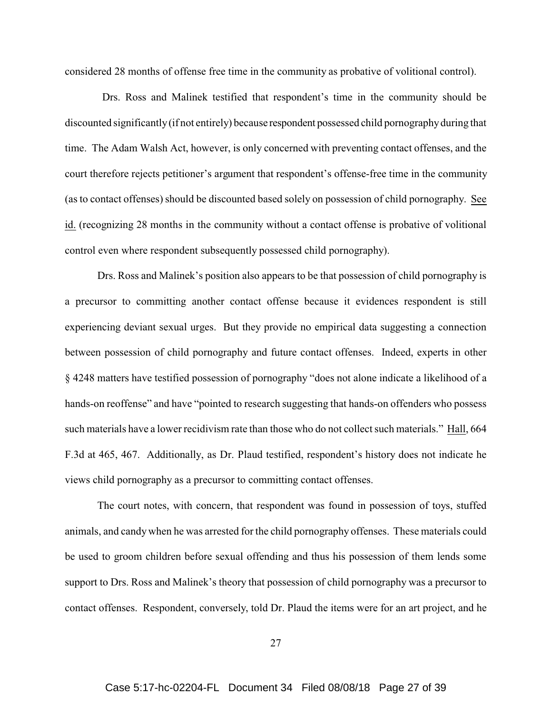considered 28 months of offense free time in the community as probative of volitional control).

 Drs. Ross and Malinek testified that respondent's time in the community should be discounted significantly (if not entirely) because respondent possessed child pornography during that time. The Adam Walsh Act, however, is only concerned with preventing contact offenses, and the court therefore rejects petitioner's argument that respondent's offense-free time in the community (as to contact offenses) should be discounted based solely on possession of child pornography. See id. (recognizing 28 months in the community without a contact offense is probative of volitional control even where respondent subsequently possessed child pornography).

Drs. Ross and Malinek's position also appears to be that possession of child pornography is a precursor to committing another contact offense because it evidences respondent is still experiencing deviant sexual urges. But they provide no empirical data suggesting a connection between possession of child pornography and future contact offenses. Indeed, experts in other § 4248 matters have testified possession of pornography "does not alone indicate a likelihood of a hands-on reoffense" and have "pointed to research suggesting that hands-on offenders who possess such materials have a lower recidivism rate than those who do not collect such materials." Hall, 664 F.3d at 465, 467. Additionally, as Dr. Plaud testified, respondent's history does not indicate he views child pornography as a precursor to committing contact offenses.

The court notes, with concern, that respondent was found in possession of toys, stuffed animals, and candy when he was arrested for the child pornography offenses. These materials could be used to groom children before sexual offending and thus his possession of them lends some support to Drs. Ross and Malinek's theory that possession of child pornography was a precursor to contact offenses. Respondent, conversely, told Dr. Plaud the items were for an art project, and he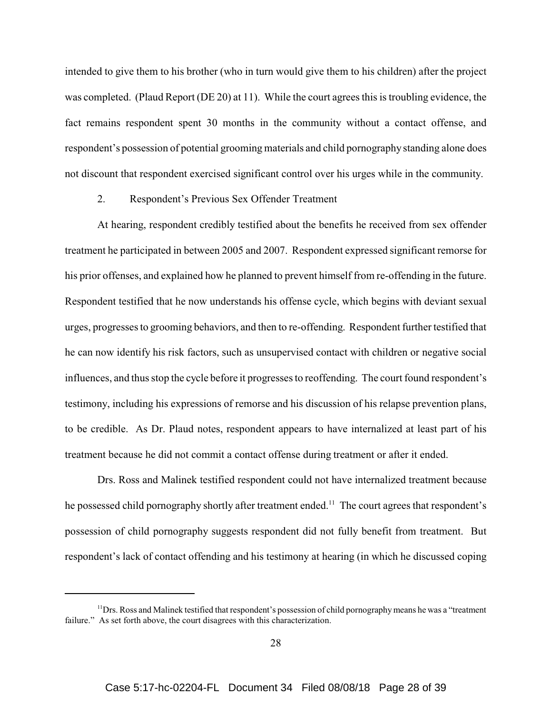intended to give them to his brother (who in turn would give them to his children) after the project was completed. (Plaud Report (DE 20) at 11). While the court agrees this is troubling evidence, the fact remains respondent spent 30 months in the community without a contact offense, and respondent's possession of potential grooming materials and child pornography standing alone does not discount that respondent exercised significant control over his urges while in the community.

# 2. Respondent's Previous Sex Offender Treatment

At hearing, respondent credibly testified about the benefits he received from sex offender treatment he participated in between 2005 and 2007. Respondent expressed significant remorse for his prior offenses, and explained how he planned to prevent himself from re-offending in the future. Respondent testified that he now understands his offense cycle, which begins with deviant sexual urges, progresses to grooming behaviors, and then to re-offending. Respondent further testified that he can now identify his risk factors, such as unsupervised contact with children or negative social influences, and thus stop the cycle before it progresses to reoffending. The court found respondent's testimony, including his expressions of remorse and his discussion of his relapse prevention plans, to be credible. As Dr. Plaud notes, respondent appears to have internalized at least part of his treatment because he did not commit a contact offense during treatment or after it ended.

Drs. Ross and Malinek testified respondent could not have internalized treatment because he possessed child pornography shortly after treatment ended.<sup>11</sup> The court agrees that respondent's possession of child pornography suggests respondent did not fully benefit from treatment. But respondent's lack of contact offending and his testimony at hearing (in which he discussed coping

<sup>&</sup>lt;sup>11</sup>Drs. Ross and Malinek testified that respondent's possession of child pornography means he was a "treatment" failure." As set forth above, the court disagrees with this characterization.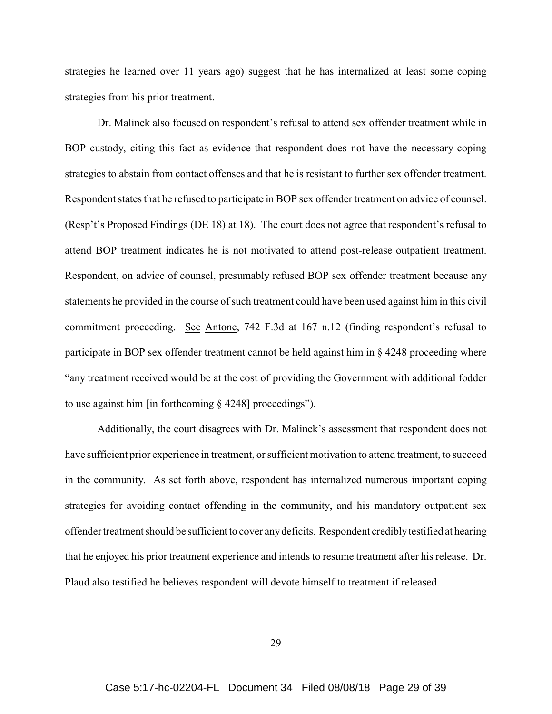strategies he learned over 11 years ago) suggest that he has internalized at least some coping strategies from his prior treatment.

Dr. Malinek also focused on respondent's refusal to attend sex offender treatment while in BOP custody, citing this fact as evidence that respondent does not have the necessary coping strategies to abstain from contact offenses and that he is resistant to further sex offender treatment. Respondent states that he refused to participate in BOP sex offender treatment on advice of counsel. (Resp't's Proposed Findings (DE 18) at 18). The court does not agree that respondent's refusal to attend BOP treatment indicates he is not motivated to attend post-release outpatient treatment. Respondent, on advice of counsel, presumably refused BOP sex offender treatment because any statements he provided in the course of such treatment could have been used against him in this civil commitment proceeding. See Antone, 742 F.3d at 167 n.12 (finding respondent's refusal to participate in BOP sex offender treatment cannot be held against him in § 4248 proceeding where "any treatment received would be at the cost of providing the Government with additional fodder to use against him [in forthcoming § 4248] proceedings").

Additionally, the court disagrees with Dr. Malinek's assessment that respondent does not have sufficient prior experience in treatment, or sufficient motivation to attend treatment, to succeed in the community. As set forth above, respondent has internalized numerous important coping strategies for avoiding contact offending in the community, and his mandatory outpatient sex offender treatment should be sufficient to cover any deficits. Respondent credibly testified at hearing that he enjoyed his prior treatment experience and intends to resume treatment after his release. Dr. Plaud also testified he believes respondent will devote himself to treatment if released.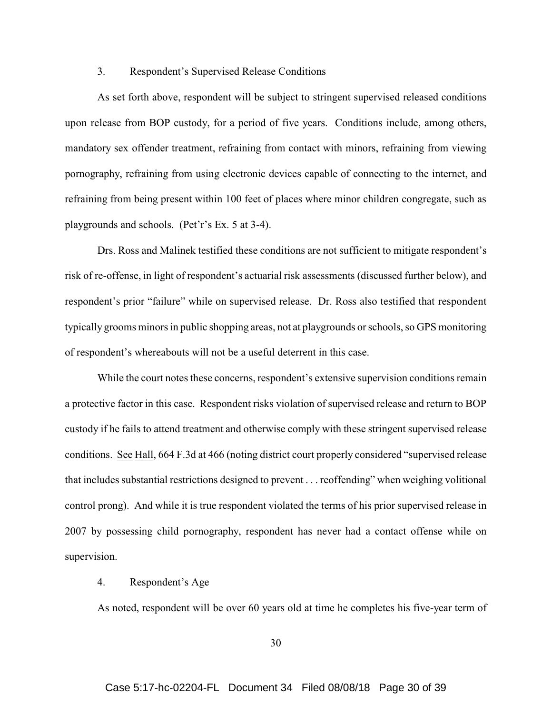### 3. Respondent's Supervised Release Conditions

As set forth above, respondent will be subject to stringent supervised released conditions upon release from BOP custody, for a period of five years. Conditions include, among others, mandatory sex offender treatment, refraining from contact with minors, refraining from viewing pornography, refraining from using electronic devices capable of connecting to the internet, and refraining from being present within 100 feet of places where minor children congregate, such as playgrounds and schools. (Pet'r's Ex. 5 at 3-4).

Drs. Ross and Malinek testified these conditions are not sufficient to mitigate respondent's risk of re-offense, in light of respondent's actuarial risk assessments (discussed further below), and respondent's prior "failure" while on supervised release. Dr. Ross also testified that respondent typically grooms minors in public shopping areas, not at playgrounds or schools, so GPS monitoring of respondent's whereabouts will not be a useful deterrent in this case.

While the court notes these concerns, respondent's extensive supervision conditions remain a protective factor in this case. Respondent risks violation of supervised release and return to BOP custody if he fails to attend treatment and otherwise comply with these stringent supervised release conditions. See Hall, 664 F.3d at 466 (noting district court properly considered "supervised release that includes substantial restrictions designed to prevent . . . reoffending" when weighing volitional control prong). And while it is true respondent violated the terms of his prior supervised release in 2007 by possessing child pornography, respondent has never had a contact offense while on supervision.

# 4. Respondent's Age

As noted, respondent will be over 60 years old at time he completes his five-year term of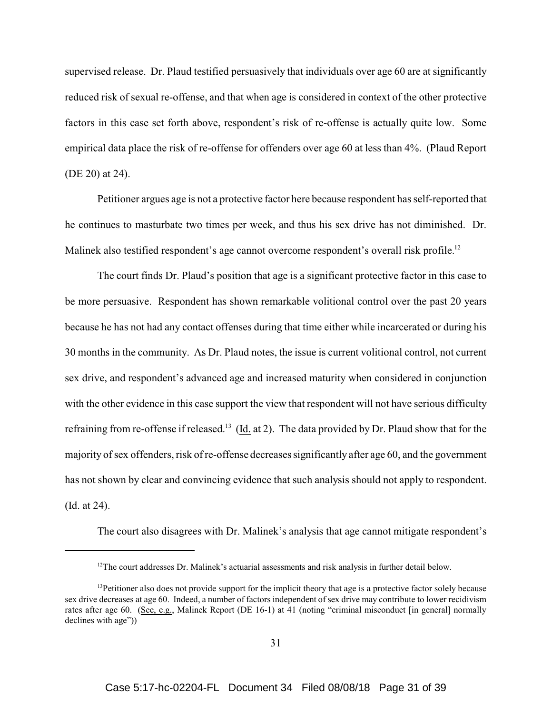supervised release. Dr. Plaud testified persuasively that individuals over age 60 are at significantly reduced risk of sexual re-offense, and that when age is considered in context of the other protective factors in this case set forth above, respondent's risk of re-offense is actually quite low. Some empirical data place the risk of re-offense for offenders over age 60 at less than 4%. (Plaud Report (DE 20) at 24).

Petitioner argues age is not a protective factor here because respondent has self-reported that he continues to masturbate two times per week, and thus his sex drive has not diminished. Dr. Malinek also testified respondent's age cannot overcome respondent's overall risk profile.<sup>12</sup>

The court finds Dr. Plaud's position that age is a significant protective factor in this case to be more persuasive. Respondent has shown remarkable volitional control over the past 20 years because he has not had any contact offenses during that time either while incarcerated or during his 30 months in the community. As Dr. Plaud notes, the issue is current volitional control, not current sex drive, and respondent's advanced age and increased maturity when considered in conjunction with the other evidence in this case support the view that respondent will not have serious difficulty refraining from re-offense if released.<sup>13</sup> (Id. at 2). The data provided by Dr. Plaud show that for the majority of sex offenders, risk of re-offense decreases significantly after age 60, and the government has not shown by clear and convincing evidence that such analysis should not apply to respondent. (Id. at 24).

The court also disagrees with Dr. Malinek's analysis that age cannot mitigate respondent's

<sup>&</sup>lt;sup>12</sup>The court addresses Dr. Malinek's actuarial assessments and risk analysis in further detail below.

 $<sup>13</sup>Petitioner also does not provide support for the implicit theory that age is a protective factor solely because$ </sup> sex drive decreases at age 60. Indeed, a number of factors independent of sex drive may contribute to lower recidivism rates after age 60. (See, e.g., Malinek Report (DE 16-1) at 41 (noting "criminal misconduct [in general] normally declines with age"))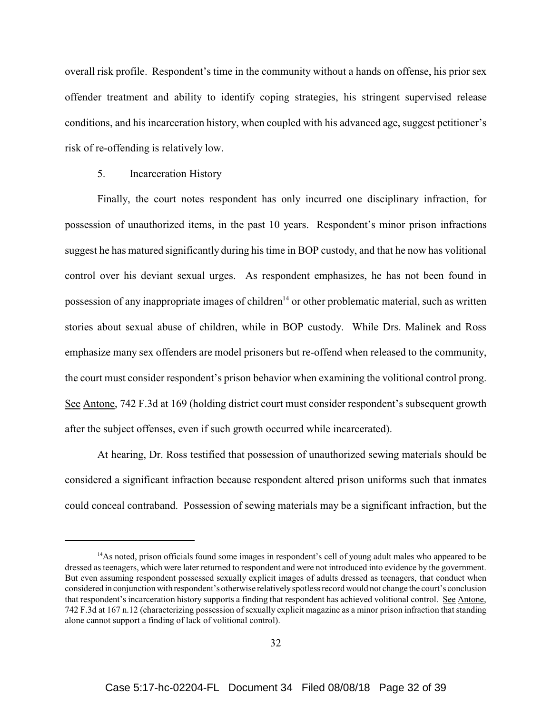overall risk profile. Respondent's time in the community without a hands on offense, his prior sex offender treatment and ability to identify coping strategies, his stringent supervised release conditions, and his incarceration history, when coupled with his advanced age, suggest petitioner's risk of re-offending is relatively low.

#### 5. Incarceration History

Finally, the court notes respondent has only incurred one disciplinary infraction, for possession of unauthorized items, in the past 10 years. Respondent's minor prison infractions suggest he has matured significantly during his time in BOP custody, and that he now has volitional control over his deviant sexual urges. As respondent emphasizes, he has not been found in possession of any inappropriate images of children<sup>14</sup> or other problematic material, such as written stories about sexual abuse of children, while in BOP custody. While Drs. Malinek and Ross emphasize many sex offenders are model prisoners but re-offend when released to the community, the court must consider respondent's prison behavior when examining the volitional control prong. See Antone, 742 F.3d at 169 (holding district court must consider respondent's subsequent growth after the subject offenses, even if such growth occurred while incarcerated).

At hearing, Dr. Ross testified that possession of unauthorized sewing materials should be considered a significant infraction because respondent altered prison uniforms such that inmates could conceal contraband. Possession of sewing materials may be a significant infraction, but the

<sup>&</sup>lt;sup>14</sup>As noted, prison officials found some images in respondent's cell of young adult males who appeared to be dressed as teenagers, which were later returned to respondent and were not introduced into evidence by the government. But even assuming respondent possessed sexually explicit images of adults dressed as teenagers, that conduct when considered in conjunction with respondent's otherwise relatively spotless record would not change the court's conclusion that respondent's incarceration history supports a finding that respondent has achieved volitional control. See Antone, 742 F.3d at 167 n.12 (characterizing possession of sexually explicit magazine as a minor prison infraction that standing alone cannot support a finding of lack of volitional control).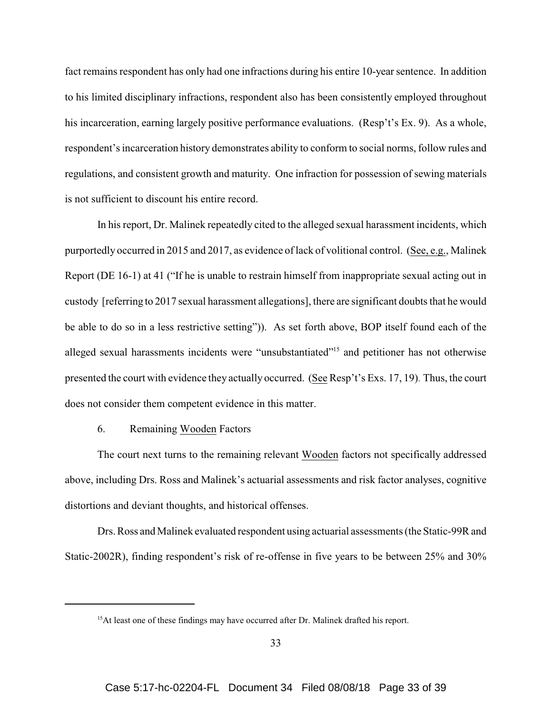fact remains respondent has only had one infractions during his entire 10-year sentence. In addition to his limited disciplinary infractions, respondent also has been consistently employed throughout his incarceration, earning largely positive performance evaluations. (Resp't's Ex. 9). As a whole, respondent's incarceration history demonstrates ability to conform to social norms, follow rules and regulations, and consistent growth and maturity. One infraction for possession of sewing materials is not sufficient to discount his entire record.

In his report, Dr. Malinek repeatedly cited to the alleged sexual harassment incidents, which purportedly occurred in 2015 and 2017, as evidence of lack of volitional control. (See, e.g., Malinek Report (DE 16-1) at 41 ("If he is unable to restrain himself from inappropriate sexual acting out in custody [referring to 2017 sexual harassment allegations], there are significant doubts that he would be able to do so in a less restrictive setting")). As set forth above, BOP itself found each of the alleged sexual harassments incidents were "unsubstantiated"<sup>15</sup> and petitioner has not otherwise presented the court with evidence they actually occurred. (See Resp't's Exs. 17, 19). Thus, the court does not consider them competent evidence in this matter.

### 6. Remaining Wooden Factors

The court next turns to the remaining relevant Wooden factors not specifically addressed above, including Drs. Ross and Malinek's actuarial assessments and risk factor analyses, cognitive distortions and deviant thoughts, and historical offenses.

Drs. Ross and Malinek evaluated respondent using actuarial assessments (the Static-99R and Static-2002R), finding respondent's risk of re-offense in five years to be between 25% and 30%

<sup>&</sup>lt;sup>15</sup>At least one of these findings may have occurred after Dr. Malinek drafted his report.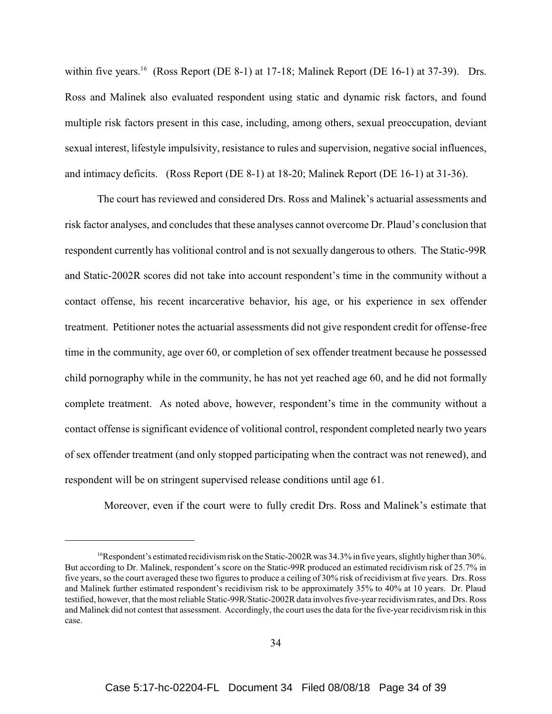within five years.<sup>16</sup> (Ross Report (DE 8-1) at 17-18; Malinek Report (DE 16-1) at 37-39). Drs. Ross and Malinek also evaluated respondent using static and dynamic risk factors, and found multiple risk factors present in this case, including, among others, sexual preoccupation, deviant sexual interest, lifestyle impulsivity, resistance to rules and supervision, negative social influences, and intimacy deficits. (Ross Report (DE 8-1) at 18-20; Malinek Report (DE 16-1) at 31-36).

The court has reviewed and considered Drs. Ross and Malinek's actuarial assessments and risk factor analyses, and concludes that these analyses cannot overcome Dr. Plaud's conclusion that respondent currently has volitional control and is not sexually dangerous to others. The Static-99R and Static-2002R scores did not take into account respondent's time in the community without a contact offense, his recent incarcerative behavior, his age, or his experience in sex offender treatment. Petitioner notes the actuarial assessments did not give respondent credit for offense-free time in the community, age over 60, or completion of sex offender treatment because he possessed child pornography while in the community, he has not yet reached age 60, and he did not formally complete treatment. As noted above, however, respondent's time in the community without a contact offense is significant evidence of volitional control, respondent completed nearly two years of sex offender treatment (and only stopped participating when the contract was not renewed), and respondent will be on stringent supervised release conditions until age 61.

Moreover, even if the court were to fully credit Drs. Ross and Malinek's estimate that

<sup>&</sup>lt;sup>16</sup>Respondent's estimated recidivism risk on the Static-2002R was  $34.3\%$  in five years, slightly higher than  $30\%$ . But according to Dr. Malinek, respondent's score on the Static-99R produced an estimated recidivism risk of 25.7% in five years, so the court averaged these two figures to produce a ceiling of 30% risk of recidivism at five years. Drs. Ross and Malinek further estimated respondent's recidivism risk to be approximately 35% to 40% at 10 years. Dr. Plaud testified, however, that the most reliable Static-99R/Static-2002R data involves five-year recidivism rates, and Drs. Ross and Malinek did not contest that assessment. Accordingly, the court uses the data for the five-year recidivism risk in this case.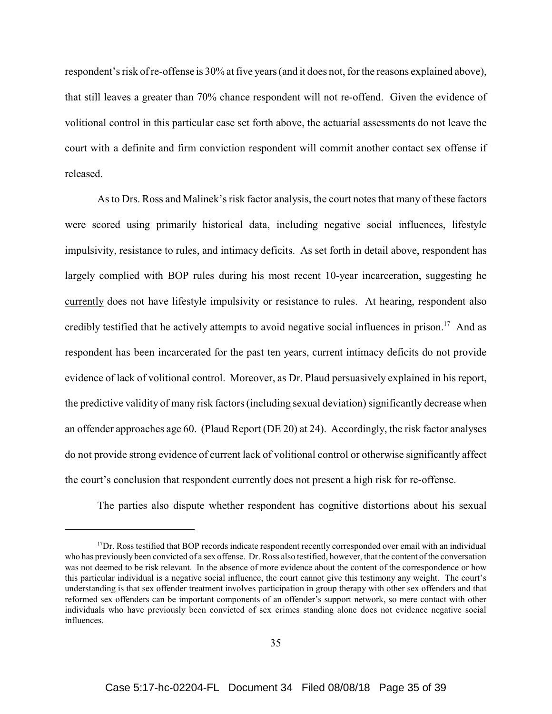respondent's risk of re-offense is 30% at five years (and it does not, for the reasons explained above), that still leaves a greater than 70% chance respondent will not re-offend. Given the evidence of volitional control in this particular case set forth above, the actuarial assessments do not leave the court with a definite and firm conviction respondent will commit another contact sex offense if released.

As to Drs. Ross and Malinek's risk factor analysis, the court notes that many of these factors were scored using primarily historical data, including negative social influences, lifestyle impulsivity, resistance to rules, and intimacy deficits. As set forth in detail above, respondent has largely complied with BOP rules during his most recent 10-year incarceration, suggesting he currently does not have lifestyle impulsivity or resistance to rules. At hearing, respondent also credibly testified that he actively attempts to avoid negative social influences in prison.<sup>17</sup> And as respondent has been incarcerated for the past ten years, current intimacy deficits do not provide evidence of lack of volitional control. Moreover, as Dr. Plaud persuasively explained in his report, the predictive validity of many risk factors (including sexual deviation) significantly decrease when an offender approaches age 60. (Plaud Report (DE 20) at 24). Accordingly, the risk factor analyses do not provide strong evidence of current lack of volitional control or otherwise significantly affect the court's conclusion that respondent currently does not present a high risk for re-offense.

The parties also dispute whether respondent has cognitive distortions about his sexual

 $17$ Dr. Ross testified that BOP records indicate respondent recently corresponded over email with an individual who has previously been convicted of a sex offense. Dr. Ross also testified, however, that the content of the conversation was not deemed to be risk relevant. In the absence of more evidence about the content of the correspondence or how this particular individual is a negative social influence, the court cannot give this testimony any weight. The court's understanding is that sex offender treatment involves participation in group therapy with other sex offenders and that reformed sex offenders can be important components of an offender's support network, so mere contact with other individuals who have previously been convicted of sex crimes standing alone does not evidence negative social influences.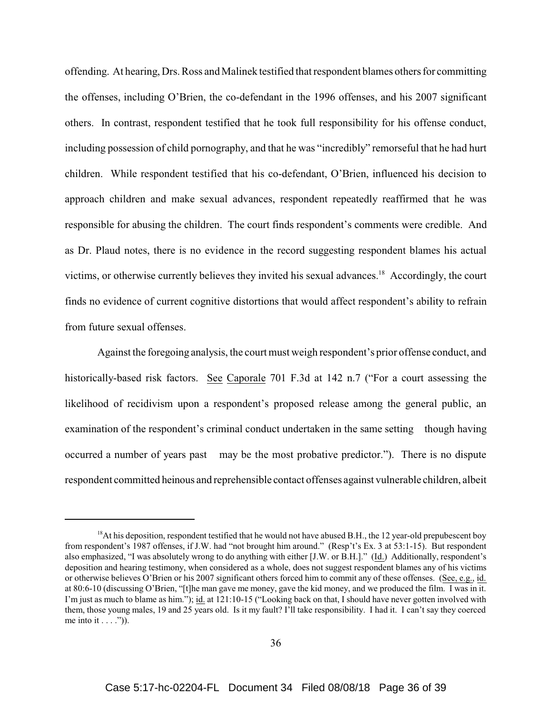offending. At hearing, Drs. Ross and Malinek testified that respondent blames others for committing the offenses, including O'Brien, the co-defendant in the 1996 offenses, and his 2007 significant others. In contrast, respondent testified that he took full responsibility for his offense conduct, including possession of child pornography, and that he was "incredibly" remorseful that he had hurt children. While respondent testified that his co-defendant, O'Brien, influenced his decision to approach children and make sexual advances, respondent repeatedly reaffirmed that he was responsible for abusing the children. The court finds respondent's comments were credible. And as Dr. Plaud notes, there is no evidence in the record suggesting respondent blames his actual victims, or otherwise currently believes they invited his sexual advances.<sup>18</sup> Accordingly, the court finds no evidence of current cognitive distortions that would affect respondent's ability to refrain from future sexual offenses.

Against the foregoing analysis, the court must weigh respondent's prior offense conduct, and historically-based risk factors. See Caporale 701 F.3d at 142 n.7 ("For a court assessing the likelihood of recidivism upon a respondent's proposed release among the general public, an examination of the respondent's criminal conduct undertaken in the same setting though having occurred a number of years past may be the most probative predictor."). There is no dispute respondent committed heinous and reprehensible contact offenses against vulnerable children, albeit

 $18$ At his deposition, respondent testified that he would not have abused B.H., the 12 year-old prepubescent boy from respondent's 1987 offenses, if J.W. had "not brought him around." (Resp't's Ex. 3 at 53:1-15). But respondent also emphasized, "I was absolutely wrong to do anything with either [J.W. or B.H.]." (Id.) Additionally, respondent's deposition and hearing testimony, when considered as a whole, does not suggest respondent blames any of his victims or otherwise believes O'Brien or his 2007 significant others forced him to commit any of these offenses. (See, e.g., id. at 80:6-10 (discussing O'Brien, "[t]he man gave me money, gave the kid money, and we produced the film. I was in it. I'm just as much to blame as him."); id. at 121:10-15 ("Looking back on that, I should have never gotten involved with them, those young males, 19 and 25 years old. Is it my fault? I'll take responsibility. I had it. I can't say they coerced me into it  $\dots$ .")).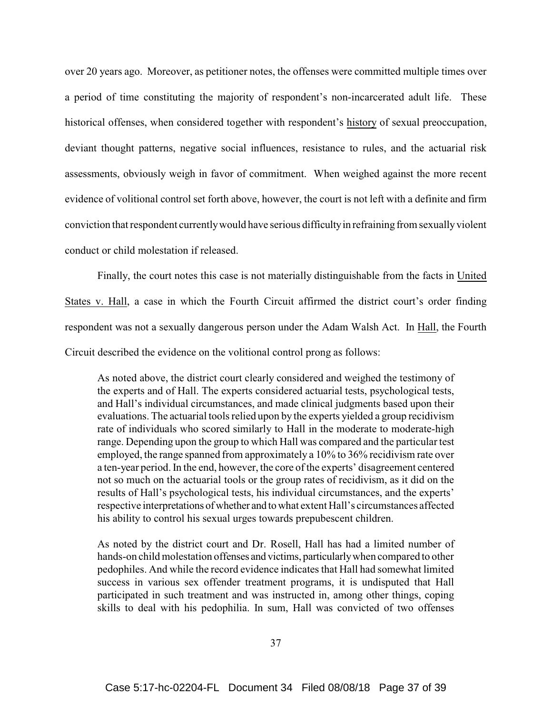over 20 years ago. Moreover, as petitioner notes, the offenses were committed multiple times over a period of time constituting the majority of respondent's non-incarcerated adult life. These historical offenses, when considered together with respondent's history of sexual preoccupation, deviant thought patterns, negative social influences, resistance to rules, and the actuarial risk assessments, obviously weigh in favor of commitment. When weighed against the more recent evidence of volitional control set forth above, however, the court is not left with a definite and firm conviction that respondent currently would have serious difficulty in refraining from sexually violent conduct or child molestation if released.

Finally, the court notes this case is not materially distinguishable from the facts in United States v. Hall, a case in which the Fourth Circuit affirmed the district court's order finding respondent was not a sexually dangerous person under the Adam Walsh Act. In Hall, the Fourth Circuit described the evidence on the volitional control prong as follows:

As noted above, the district court clearly considered and weighed the testimony of the experts and of Hall. The experts considered actuarial tests, psychological tests, and Hall's individual circumstances, and made clinical judgments based upon their evaluations. The actuarial tools relied upon by the experts yielded a group recidivism rate of individuals who scored similarly to Hall in the moderate to moderate-high range. Depending upon the group to which Hall was compared and the particular test employed, the range spanned from approximately a 10% to 36% recidivism rate over a ten-year period. In the end, however, the core of the experts' disagreement centered not so much on the actuarial tools or the group rates of recidivism, as it did on the results of Hall's psychological tests, his individual circumstances, and the experts' respective interpretations of whether and to what extent Hall's circumstances affected his ability to control his sexual urges towards prepubescent children.

As noted by the district court and Dr. Rosell, Hall has had a limited number of hands-on child molestation offenses and victims, particularly when compared to other pedophiles. And while the record evidence indicates that Hall had somewhat limited success in various sex offender treatment programs, it is undisputed that Hall participated in such treatment and was instructed in, among other things, coping skills to deal with his pedophilia. In sum, Hall was convicted of two offenses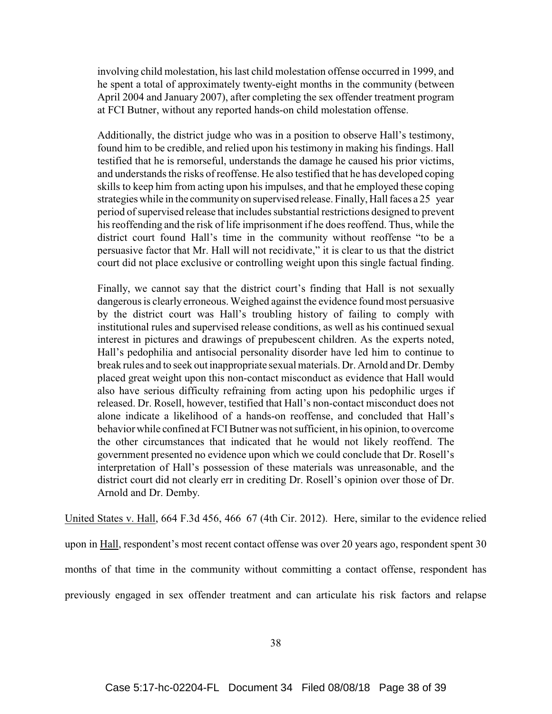involving child molestation, his last child molestation offense occurred in 1999, and he spent a total of approximately twenty-eight months in the community (between April 2004 and January 2007), after completing the sex offender treatment program at FCI Butner, without any reported hands-on child molestation offense.

Additionally, the district judge who was in a position to observe Hall's testimony, found him to be credible, and relied upon his testimony in making his findings. Hall testified that he is remorseful, understands the damage he caused his prior victims, and understands the risks of reoffense. He also testified that he has developed coping skills to keep him from acting upon his impulses, and that he employed these coping strategies while in the community on supervised release. Finally, Hall faces a 25 year period of supervised release that includes substantial restrictions designed to prevent his reoffending and the risk of life imprisonment if he does reoffend. Thus, while the district court found Hall's time in the community without reoffense "to be a persuasive factor that Mr. Hall will not recidivate," it is clear to us that the district court did not place exclusive or controlling weight upon this single factual finding.

Finally, we cannot say that the district court's finding that Hall is not sexually dangerous is clearly erroneous. Weighed against the evidence found most persuasive by the district court was Hall's troubling history of failing to comply with institutional rules and supervised release conditions, as well as his continued sexual interest in pictures and drawings of prepubescent children. As the experts noted, Hall's pedophilia and antisocial personality disorder have led him to continue to break rules and to seek out inappropriate sexual materials. Dr. Arnold and Dr. Demby placed great weight upon this non-contact misconduct as evidence that Hall would also have serious difficulty refraining from acting upon his pedophilic urges if released. Dr. Rosell, however, testified that Hall's non-contact misconduct does not alone indicate a likelihood of a hands-on reoffense, and concluded that Hall's behavior while confined at FCI Butner was not sufficient, in his opinion, to overcome the other circumstances that indicated that he would not likely reoffend. The government presented no evidence upon which we could conclude that Dr. Rosell's interpretation of Hall's possession of these materials was unreasonable, and the district court did not clearly err in crediting Dr. Rosell's opinion over those of Dr. Arnold and Dr. Demby.

United States v. Hall, 664 F.3d 456, 466 67 (4th Cir. 2012). Here, similar to the evidence relied upon in Hall, respondent's most recent contact offense was over 20 years ago, respondent spent 30 months of that time in the community without committing a contact offense, respondent has previously engaged in sex offender treatment and can articulate his risk factors and relapse